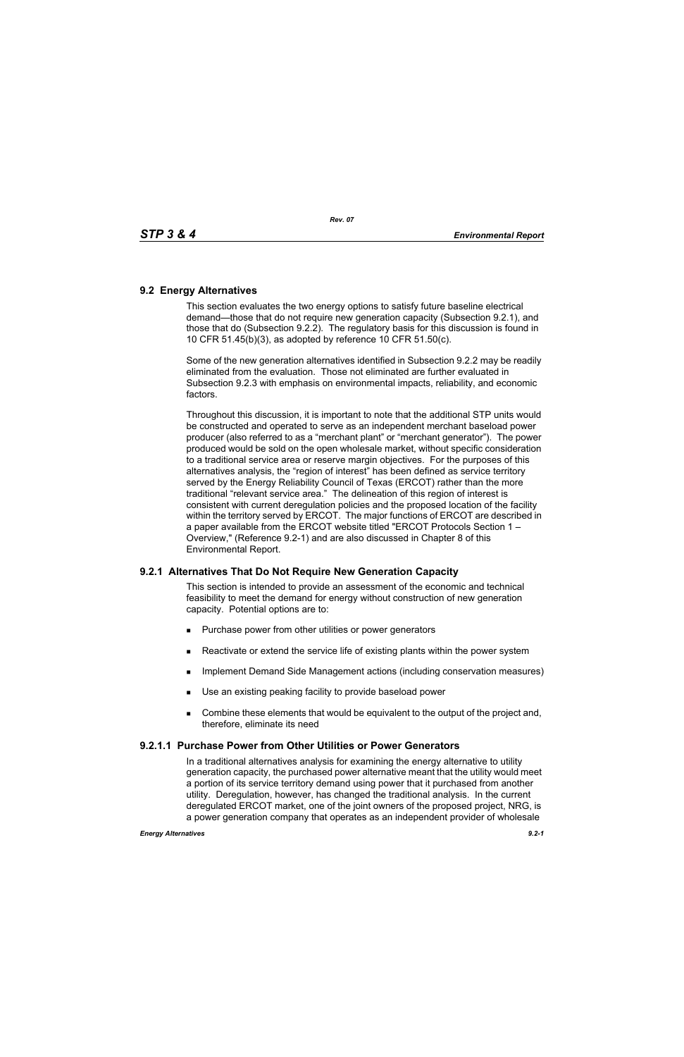### **9.2 Energy Alternatives**

This section evaluates the two energy options to satisfy future baseline electrical demand—those that do not require new generation capacity (Subsection 9.2.1), and those that do (Subsection 9.2.2). The regulatory basis for this discussion is found in 10 CFR 51.45(b)(3), as adopted by reference 10 CFR 51.50(c).

Some of the new generation alternatives identified in Subsection 9.2.2 may be readily eliminated from the evaluation. Those not eliminated are further evaluated in Subsection 9.2.3 with emphasis on environmental impacts, reliability, and economic factors.

Throughout this discussion, it is important to note that the additional STP units would be constructed and operated to serve as an independent merchant baseload power producer (also referred to as a "merchant plant" or "merchant generator"). The power produced would be sold on the open wholesale market, without specific consideration to a traditional service area or reserve margin objectives. For the purposes of this alternatives analysis, the "region of interest" has been defined as service territory served by the Energy Reliability Council of Texas (ERCOT) rather than the more traditional "relevant service area." The delineation of this region of interest is consistent with current deregulation policies and the proposed location of the facility within the territory served by ERCOT. The major functions of ERCOT are described in a paper available from the ERCOT website titled "ERCOT Protocols Section 1 – Overview," (Reference 9.2-1) and are also discussed in Chapter 8 of this Environmental Report.

## **9.2.1 Alternatives That Do Not Require New Generation Capacity**

This section is intended to provide an assessment of the economic and technical feasibility to meet the demand for energy without construction of new generation capacity. Potential options are to:

- **Purchase power from other utilities or power generators**
- **EXECT** Reactivate or extend the service life of existing plants within the power system
- **IMPLEMENTER IMMORGHT MANAGEM INCOCONSTREED IN A THE IMMORGHT IMMORGHT INCOCONSTREED IMMORGHT INCOCONSTREED IMMORGHT INCOCONSTREED IMMORGHT INCOCONSTREED IMMORGHT INCOCONSTREED IMMORGHT INCOCONSTREED IMMORGHT INCOCONSTREED**
- Use an existing peaking facility to provide baseload power
- **Combine these elements that would be equivalent to the output of the project and,** therefore, eliminate its need

### **9.2.1.1 Purchase Power from Other Utilities or Power Generators**

In a traditional alternatives analysis for examining the energy alternative to utility generation capacity, the purchased power alternative meant that the utility would meet a portion of its service territory demand using power that it purchased from another utility. Deregulation, however, has changed the traditional analysis. In the current deregulated ERCOT market, one of the joint owners of the proposed project, NRG, is a power generation company that operates as an independent provider of wholesale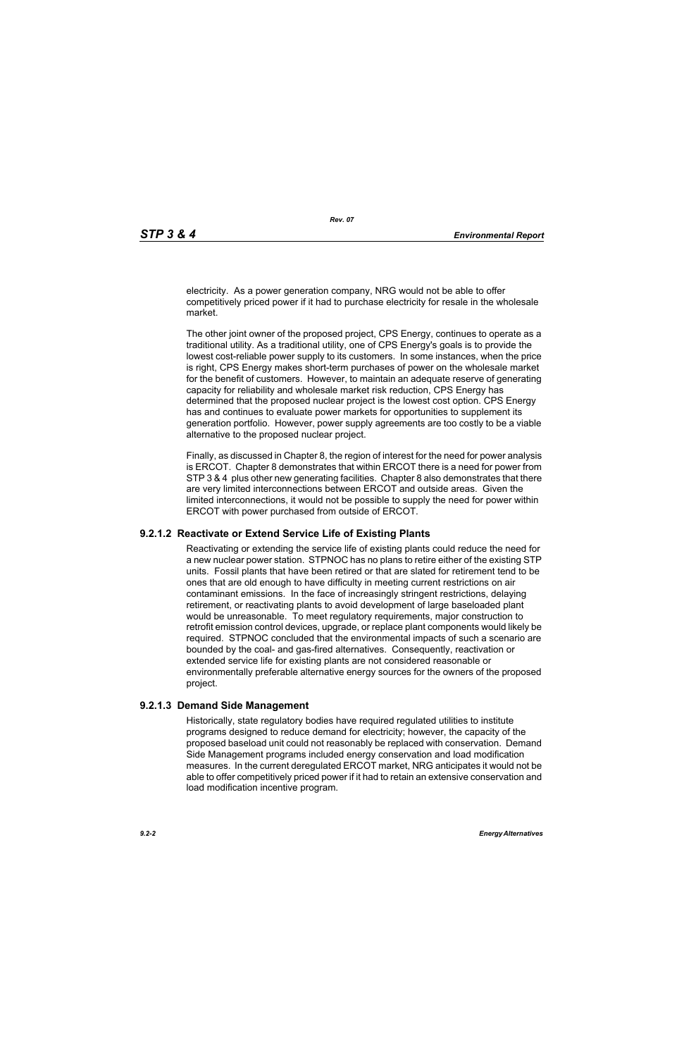electricity. As a power generation company, NRG would not be able to offer competitively priced power if it had to purchase electricity for resale in the wholesale market.

The other joint owner of the proposed project, CPS Energy, continues to operate as a traditional utility. As a traditional utility, one of CPS Energy's goals is to provide the lowest cost-reliable power supply to its customers. In some instances, when the price is right, CPS Energy makes short-term purchases of power on the wholesale market for the benefit of customers. However, to maintain an adequate reserve of generating capacity for reliability and wholesale market risk reduction, CPS Energy has determined that the proposed nuclear project is the lowest cost option. CPS Energy has and continues to evaluate power markets for opportunities to supplement its generation portfolio. However, power supply agreements are too costly to be a viable alternative to the proposed nuclear project.

Finally, as discussed in Chapter 8, the region of interest for the need for power analysis is ERCOT. Chapter 8 demonstrates that within ERCOT there is a need for power from STP 3 & 4 plus other new generating facilities. Chapter 8 also demonstrates that there are very limited interconnections between ERCOT and outside areas. Given the limited interconnections, it would not be possible to supply the need for power within ERCOT with power purchased from outside of ERCOT.

### **9.2.1.2 Reactivate or Extend Service Life of Existing Plants**

Reactivating or extending the service life of existing plants could reduce the need for a new nuclear power station. STPNOC has no plans to retire either of the existing STP units. Fossil plants that have been retired or that are slated for retirement tend to be ones that are old enough to have difficulty in meeting current restrictions on air contaminant emissions. In the face of increasingly stringent restrictions, delaying retirement, or reactivating plants to avoid development of large baseloaded plant would be unreasonable. To meet regulatory requirements, major construction to retrofit emission control devices, upgrade, or replace plant components would likely be required. STPNOC concluded that the environmental impacts of such a scenario are bounded by the coal- and gas-fired alternatives. Consequently, reactivation or extended service life for existing plants are not considered reasonable or environmentally preferable alternative energy sources for the owners of the proposed project.

### **9.2.1.3 Demand Side Management**

Historically, state regulatory bodies have required regulated utilities to institute programs designed to reduce demand for electricity; however, the capacity of the proposed baseload unit could not reasonably be replaced with conservation. Demand Side Management programs included energy conservation and load modification measures. In the current deregulated ERCOT market, NRG anticipates it would not be able to offer competitively priced power if it had to retain an extensive conservation and load modification incentive program.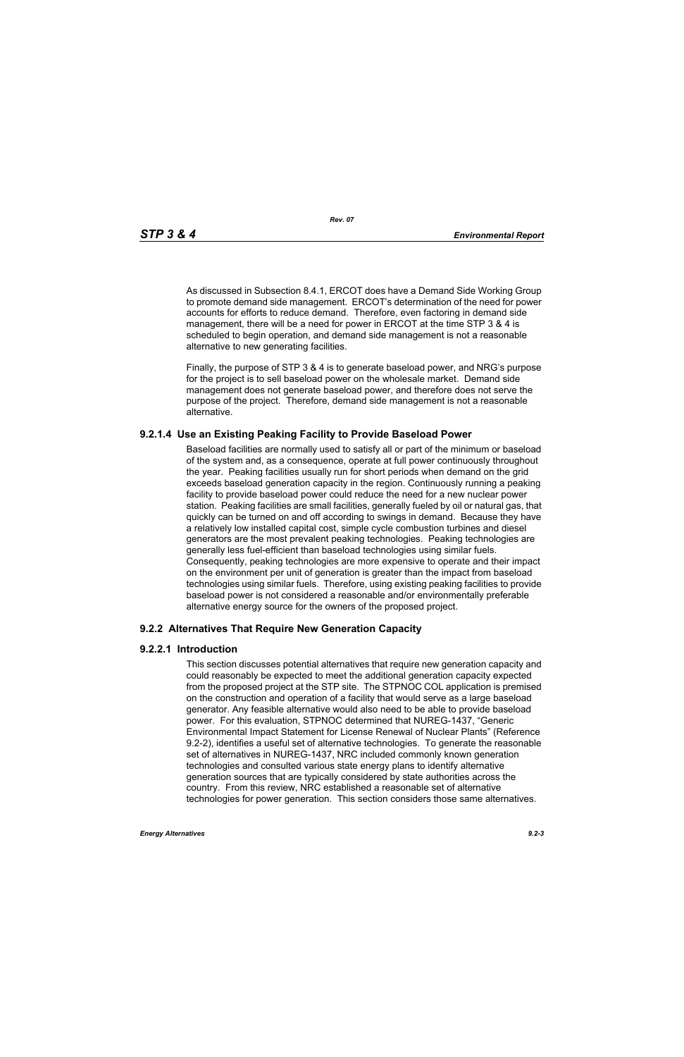As discussed in Subsection 8.4.1, ERCOT does have a Demand Side Working Group to promote demand side management. ERCOT's determination of the need for power accounts for efforts to reduce demand. Therefore, even factoring in demand side management, there will be a need for power in ERCOT at the time STP 3 & 4 is scheduled to begin operation, and demand side management is not a reasonable alternative to new generating facilities.

[Finally, the purpose of STP 3 & 4 is to generate baseload power, and NRG's purpose](http://www.eere.energy.gov/windandhydro/windpoweringamerica/pdfs/power_supply_guidebook.pdf)  for the project is to sell baseload power on the wholesale market. Demand side management does not generate baseload power, and therefore does not serve the purpose of the project. Therefore, demand side management is not a reasonable alternative.

## **9.2.1.4 Use an Existing Peaking Facility to Provide Baseload Power**

Baseload facilities are normally used to satisfy all or part of the minimum or baseload of the system and, as a consequence, operate at full power continuously throughout the year. Peaking facilities usually run for short periods when demand on the grid exceeds baseload generation capacity in the region. Continuously running a peaking facility to provide baseload power could reduce the need for a new nuclear power station. Peaking facilities are small facilities, generally fueled by oil or natural gas, that quickly can be turned on and off according to swings in demand. Because they have a relatively low installed capital cost, simple cycle combustion turbines and diesel generators are the most prevalent peaking technologies. Peaking technologies are generally less fuel-efficient than baseload technologies using similar fuels. Consequently, peaking technologies are more expensive to operate and their impact on the environment per unit of generation is greater than the impact from baseload technologies using similar fuels. Therefore, using existing peaking facilities to provide baseload power is not considered a reasonable and/or environmentally preferable alternative energy source for the owners of the proposed project.

## **9.2.2 Alternatives That Require New Generation Capacity**

### **9.2.2.1 Introduction**

This section discusses potential alternatives that require new generation capacity and could reasonably be expected to meet the additional generation capacity expected from the proposed project at the STP site. The STPNOC COL application is premised on the construction and operation of a facility that would serve as a large baseload generator. Any feasible alternative would also need to be able to provide baseload power. For this evaluation, STPNOC determined that NUREG-1437, "Generic Environmental Impact Statement for License Renewal of Nuclear Plants" (Reference 9.2-2), identifies a useful set of alternative technologies. To generate the reasonable set of alternatives in NUREG-1437, NRC included commonly known generation technologies and consulted various state energy plans to identify alternative generation sources that are typically considered by state authorities across the country. From this review, NRC established a reasonable set of alternative technologies for power generation. This section considers those same alternatives.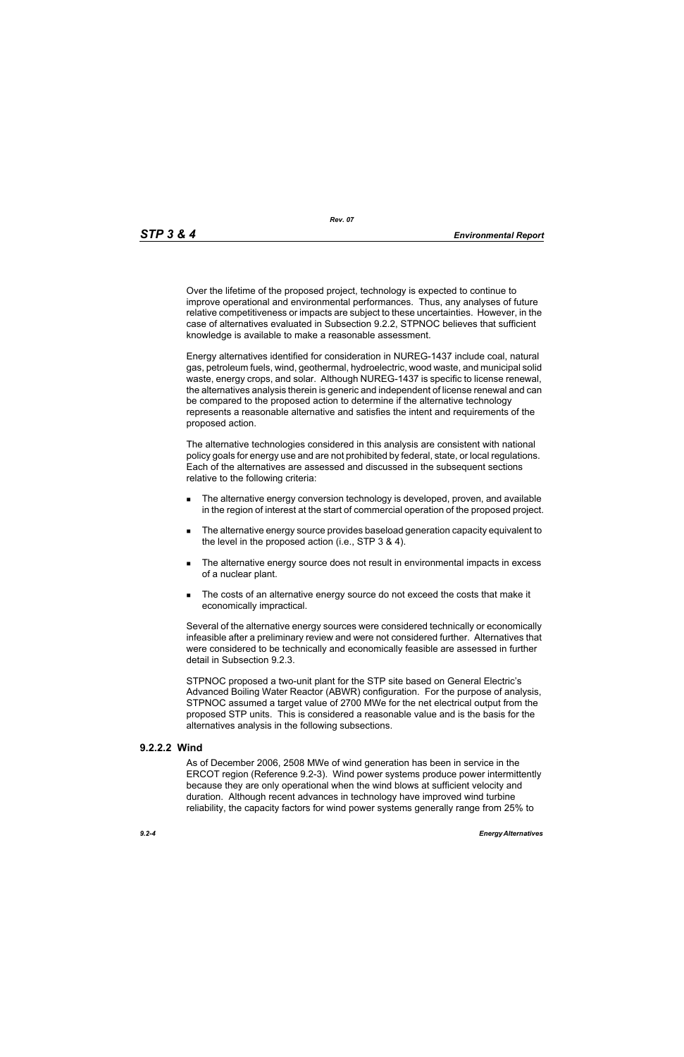Over the lifetime of the proposed project, technology is expected to continue to improve operational and environmental performances. Thus, any analyses of future relative competitiveness or impacts are subject to these uncertainties. However, in the case of alternatives evaluated in Subsection 9.2.2, STPNOC believes that sufficient knowledge is available to make a reasonable assessment.

Energy alternatives identified for consideration in NUREG-1437 include coal, natural gas, petroleum fuels, wind, geothermal, hydroelectric, wood waste, and municipal solid waste, energy crops, and solar. Although NUREG-1437 is specific to license renewal, the alternatives analysis therein is generic and independent of license renewal and can be compared to the proposed action to determine if the alternative technology represents a reasonable alternative and satisfies the intent and requirements of the proposed action.

The alternative technologies considered in this analysis are consistent with national policy goals for energy use and are not prohibited by federal, state, or local regulations. Each of the alternatives are assessed and discussed in the subsequent sections relative to the following criteria:

- **The alternative energy conversion technology is developed, proven, and available** in the region of interest at the start of commercial operation of the proposed project.
- The alternative energy source provides baseload generation capacity equivalent to the level in the proposed action (i.e., STP 3 & 4).
- The alternative energy source does not result in environmental impacts in excess of a nuclear plant.
- The costs of an alternative energy source do not exceed the costs that make it economically impractical.

Several of the alternative energy sources were considered technically or economically infeasible after a preliminary review and were not considered further. Alternatives that were considered to be technically and economically feasible are assessed in further detail in Subsection 9.2.3.

STPNOC proposed a two-unit plant for the STP site based on General Electric's Advanced Boiling Water Reactor (ABWR) configuration. For the purpose of analysis, STPNOC assumed a target value of 2700 MWe for the net electrical output from the proposed STP units. This is considered a reasonable value and is the basis for the alternatives analysis in the following subsections.

### **9.2.2.2 Wind**

As of December 2006, 2508 MWe of wind generation has been in service in the ERCOT region (Reference 9.2-3). Wind power systems produce power intermittently because they are only operational when the wind blows at sufficient velocity and duration. Although recent advances in technology have improved wind turbine reliability, the capacity factors for wind power systems generally range from 25% to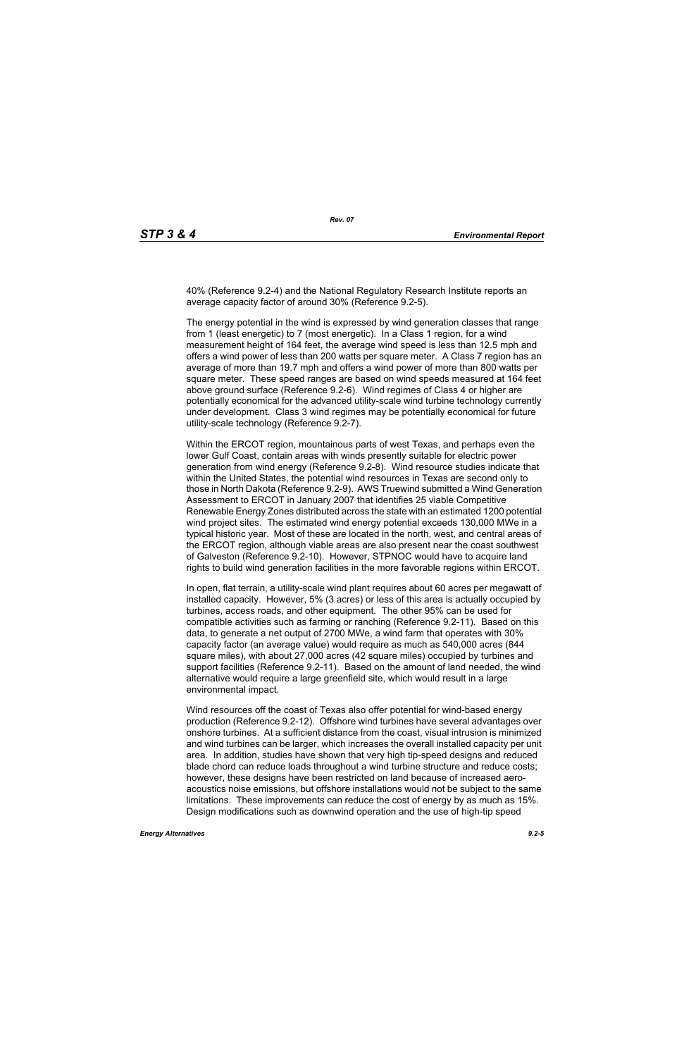40% (Reference 9.2-4) and the National Regulatory Research Institute reports an average capacity factor of around 30% (Reference 9.2-5).

The energy potential in the wind is expressed by wind generation classes that range from 1 (least energetic) to 7 (most energetic). In a Class 1 region, for a wind measurement height of 164 feet, the average wind speed is less than 12.5 mph and offers a wind power of less than 200 watts per square meter. A Class 7 region has an average of more than 19.7 mph and offers a wind power of more than 800 watts per square meter. These speed ranges are based on wind speeds measured at 164 feet above ground surface (Reference 9.2-6). Wind regimes of Class 4 or higher are potentially economical for the advanced utility-scale wind turbine technology currently under development. Class 3 wind regimes may be potentially economical for future utility-scale technology (Reference 9.2-7).

Within the ERCOT region, mountainous parts of west Texas, and perhaps even the lower Gulf Coast, contain areas with winds presently suitable for electric power generation from wind energy (Reference 9.2-8). Wind resource studies indicate that within the United States, the potential wind resources in Texas are second only to those in North Dakota (Reference 9.2-9). AWS Truewind submitted a Wind Generation Assessment to ERCOT in January 2007 that identifies 25 viable Competitive Renewable Energy Zones distributed across the state with an estimated 1200 potential wind project sites. The estimated wind energy potential exceeds 130,000 MWe in a typical historic year. Most of these are located in the north, west, and central areas of the ERCOT region, although viable areas are also present near the coast southwest of Galveston (Reference 9.2-10). However, STPNOC would have to acquire land rights to build wind generation facilities in the more favorable regions within ERCOT.

In open, flat terrain, a utility-scale wind plant requires about 60 acres per megawatt of installed capacity. However, 5% (3 acres) or less of this area is actually occupied by turbines, access roads, and other equipment. The other 95% can be used for compatible activities such as farming or ranching (Reference 9.2-11). Based on this data, to generate a net output of 2700 MWe, a wind farm that operates with 30% capacity factor (an average value) would require as much as 540,000 acres (844 square miles), with about 27,000 acres (42 square miles) occupied by turbines and support facilities (Reference 9.2-11). Based on the amount of land needed, the wind alternative would require a large greenfield site, which would result in a large environmental impact.

Wind resources off the coast of Texas also offer potential for wind-based energy production (Reference 9.2-12). Offshore wind turbines have several advantages over onshore turbines. At a sufficient distance from the coast, visual intrusion is minimized and wind turbines can be larger, which increases the overall installed capacity per unit area. In addition, studies have shown that very high tip-speed designs and reduced blade chord can reduce loads throughout a wind turbine structure and reduce costs; however, these designs have been restricted on land because of increased aeroacoustics noise emissions, but offshore installations would not be subject to the same limitations. These improvements can reduce the cost of energy by as much as 15%. Design modifications such as downwind operation and the use of high-tip speed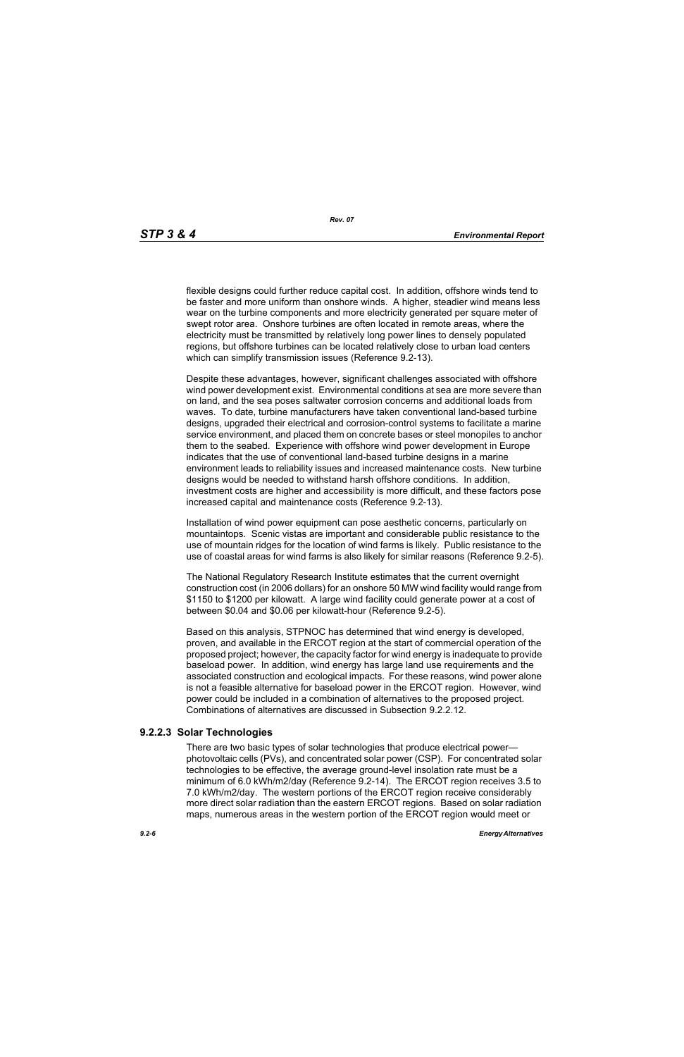flexible designs could further reduce capital cost. In addition, offshore winds tend to be faster and more uniform than onshore winds. A higher, steadier wind means less wear on the turbine components and more electricity generated per square meter of swept rotor area. Onshore turbines are often located in remote areas, where the electricity must be transmitted by relatively long power lines to densely populated regions, but offshore turbines can be located relatively close to urban load centers which can simplify transmission issues (Reference 9.2-13).

[Despite these advantages, however, significant challenges associated with offshore](http://www.nrri.ohio-state.edu/)  wind power development exist. Environmental conditions at sea are more severe than on land, and the sea poses saltwater corrosion concerns and additional loads from waves. To date, turbine manufacturers have taken conventional land-based turbine [designs, upgraded their electrical and corrosion-control systems to facilitate a marine](http://www.nrri.ohio-state.edu/)  service environment, and placed them on concrete bases or steel monopiles to anchor them to the seabed. Experience with offshore wind power development in Europe [indicates that the use of conventional land-based turbine designs in a marine](http://www.nrri.ohio-state.edu/)  [environment leads to reliability issues and increased maintenance costs. New turbine](http://www.nrri.ohio-state.edu/)  designs would be needed to withstand harsh offshore conditions. In addition, investment costs are higher and accessibility is more difficult, and these factors pose increased capital and maintenance costs (Reference 9.2-13).

Installation of wind power equipment can pose aesthetic concerns, particularly on mountaintops. Scenic vistas are important and considerable public resistance to the use of mountain ridges for the location of wind farms is likely. Public resistance to the use of coastal areas for wind farms is also likely for similar reasons (Reference 9.2-5).

The National Regulatory Research Institute estimates that the current overnight construction cost (in 2006 dollars) for an onshore 50 MW wind facility would range from \$1150 to \$1200 per kilowatt. A large wind facility could generate power at a cost of between \$0.04 and \$0.06 per kilowatt-hour (Reference 9.2-5).

Based on this analysis, STPNOC has determined that wind energy is developed, [proven, and available in the ERCOT region at the start of commercial operation of the](http://www.infinitepower.org/resgeothermal.htm)  proposed project; however, the capacity factor for wind energy is inadequate to provide baseload power. In addition, wind energy has large land use requirements and the associated construction and ecological impacts. For these reasons, wind power alone is not a feasible alternative for baseload power in the ERCOT region. However, wind power could be included in a combination of alternatives to the proposed project. Combinations of alternatives are discussed in Subsection 9.2.2.12.

## **9.2.2.3 Solar Technologies**

There are two basic types of solar technologies that produce electrical power photovoltaic cells (PVs), and concentrated solar power (CSP). For concentrated solar technologies to be effective, the average ground-level insolation rate must be a minimum of 6.0 kWh/m2/day (Reference 9.2-14). The ERCOT region receives 3.5 to 7.0 kWh/m2/day. The western portions of the ERCOT region receive considerably more direct solar radiation than the eastern ERCOT regions. Based on solar radiation maps, numerous areas in the western portion of the ERCOT region would meet or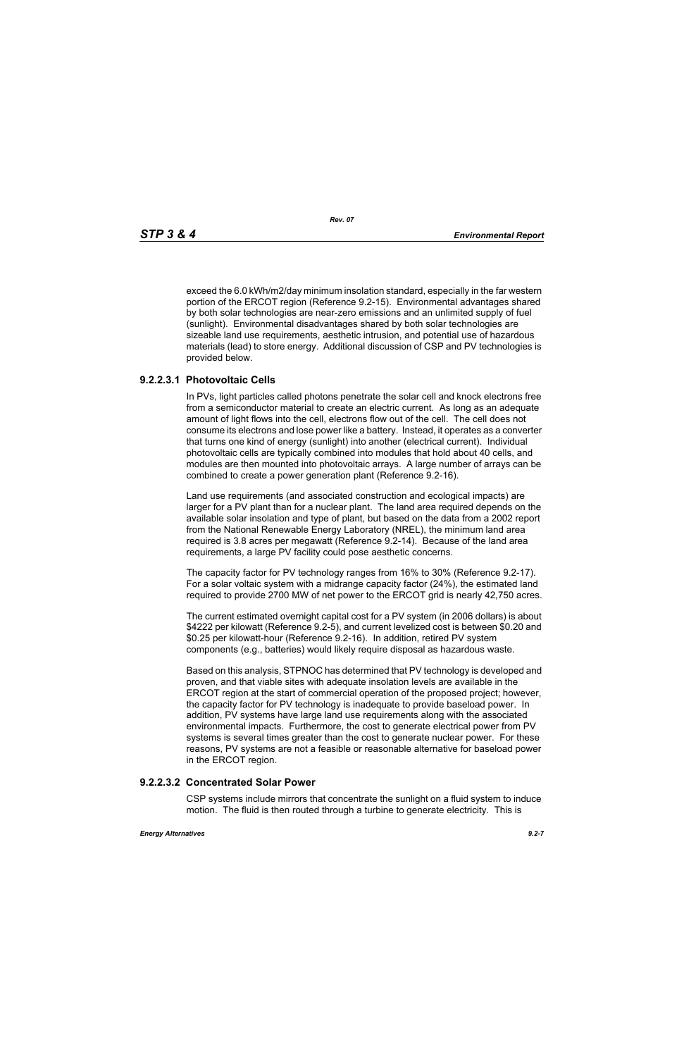exceed the 6.0 kWh/m2/day minimum insolation standard, especially in the far western portion of the ERCOT region (Reference 9.2-15). Environmental advantages shared by both solar technologies are near-zero emissions and an unlimited supply of fuel (sunlight). Environmental disadvantages shared by both solar technologies are sizeable land use requirements, aesthetic intrusion, and potential use of hazardous materials (lead) to store energy. Additional discussion of CSP and PV technologies is provided below.

## **9.2.2.3.1 Photovoltaic Cells**

In PVs, light particles called photons penetrate the solar cell and knock electrons free from a semiconductor material to create an electric current. As long as an adequate amount of light flows into the cell, electrons flow out of the cell. The cell does not consume its electrons and lose power like a battery. Instead, it operates as a converter that turns one kind of energy (sunlight) into another (electrical current). Individual photovoltaic cells are typically combined into modules that hold about 40 cells, and modules are then mounted into photovoltaic arrays. A large number of arrays can be combined to create a power generation plant (Reference 9.2-16).

Land use requirements (and associated construction and ecological impacts) are larger for a PV plant than for a nuclear plant. The land area required depends on the available solar insolation and type of plant, but based on the data from a 2002 report from the National Renewable Energy Laboratory (NREL), the minimum land area required is 3.8 acres per megawatt (Reference 9.2-14). Because of the land area requirements, a large PV facility could pose aesthetic concerns.

The capacity factor for PV technology ranges from 16% to 30% (Reference 9.2-17). For a solar voltaic system with a midrange capacity factor (24%), the estimated land required to provide 2700 MW of net power to the ERCOT grid is nearly 42,750 acres.

The current estimated overnight capital cost for a PV system (in 2006 dollars) is about \$4222 per kilowatt (Reference 9.2-5), and current levelized cost is between \$0.20 and \$0.25 per kilowatt-hour (Reference 9.2-16). In addition, retired PV system components (e.g., batteries) would likely require disposal as hazardous waste.

Based on this analysis, STPNOC has determined that PV technology is developed and proven, and that viable sites with adequate insolation levels are available in the ERCOT region at the start of commercial operation of the proposed project; however, the capacity factor for PV technology is inadequate to provide baseload power. In addition, PV systems have large land use requirements along with the associated environmental impacts. Furthermore, the cost to generate electrical power from PV systems is several times greater than the cost to generate nuclear power. For these reasons, PV systems are not a feasible or reasonable alternative for baseload power in the ERCOT region.

### **9.2.2.3.2 Concentrated Solar Power**

CSP systems include mirrors that concentrate the sunlight on a fluid system to induce motion. The fluid is then routed through a turbine to generate electricity. This is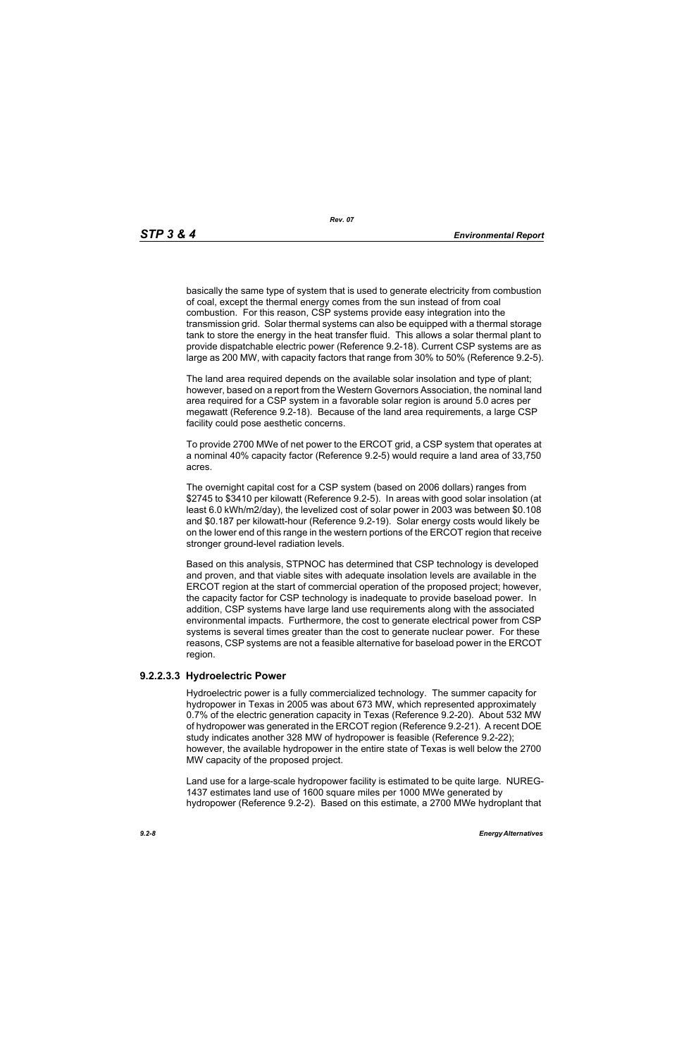basically the same type of system that is used to generate electricity from combustion of coal, except the thermal energy comes from the sun instead of from coal combustion. For this reason, CSP systems provide easy integration into the transmission grid. Solar thermal systems can also be equipped with a thermal storage tank to store the energy in the heat transfer fluid. This allows a solar thermal plant to provide dispatchable electric power (Reference 9.2-18). Current CSP systems are as large as 200 MW, with capacity factors that range from 30% to 50% (Reference 9.2-5).

The land area required depends on the available solar insolation and type of plant; however, based on a report from the Western Governors Association, the nominal land area required for a CSP system in a favorable solar region is around 5.0 acres per megawatt (Reference 9.2-18). Because of the land area requirements, a large CSP facility could pose aesthetic concerns.

To provide 2700 MWe of net power to the ERCOT grid, a CSP system that operates at a nominal 40% capacity factor (Reference 9.2-5) would require a land area of 33,750 acres.

The overnight capital cost for a CSP system (based on 2006 dollars) ranges from \$2745 to \$3410 per kilowatt (Reference 9.2-5). In areas with good solar insolation (at least 6.0 kWh/m2/day), the levelized cost of solar power in 2003 was between \$0.108 and \$0.187 per kilowatt-hour (Reference 9.2-19). Solar energy costs would likely be on the lower end of this range in the western portions of the ERCOT region that receive stronger ground-level radiation levels.

Based on this analysis, STPNOC has determined that CSP technology is developed and proven, and that viable sites with adequate insolation levels are available in the ERCOT region at the start of commercial operation of the proposed project; however, the capacity factor for CSP technology is inadequate to provide baseload power. In addition, CSP systems have large land use requirements along with the associated environmental impacts. Furthermore, the cost to generate electrical power from CSP systems is several times greater than the cost to generate nuclear power. For these reasons, CSP systems are not a feasible alternative for baseload power in the ERCOT region.

## **9.2.2.3.3 Hydroelectric Power**

Hydroelectric power is a fully commercialized technology. The summer capacity for hydropower in Texas in 2005 was about 673 MW, which represented approximately 0.7% of the electric generation capacity in Texas (Reference 9.2-20). About 532 MW of hydropower was generated in the ERCOT region (Reference 9.2-21). A recent DOE study indicates another 328 MW of hydropower is feasible (Reference 9.2-22); however, the available hydropower in the entire state of Texas is well below the 2700 MW capacity of the proposed project.

Land use for a large-scale hydropower facility is estimated to be quite large. NUREG-1437 estimates land use of 1600 square miles per 1000 MWe generated by hydropower (Reference 9.2-2). Based on this estimate, a 2700 MWe hydroplant that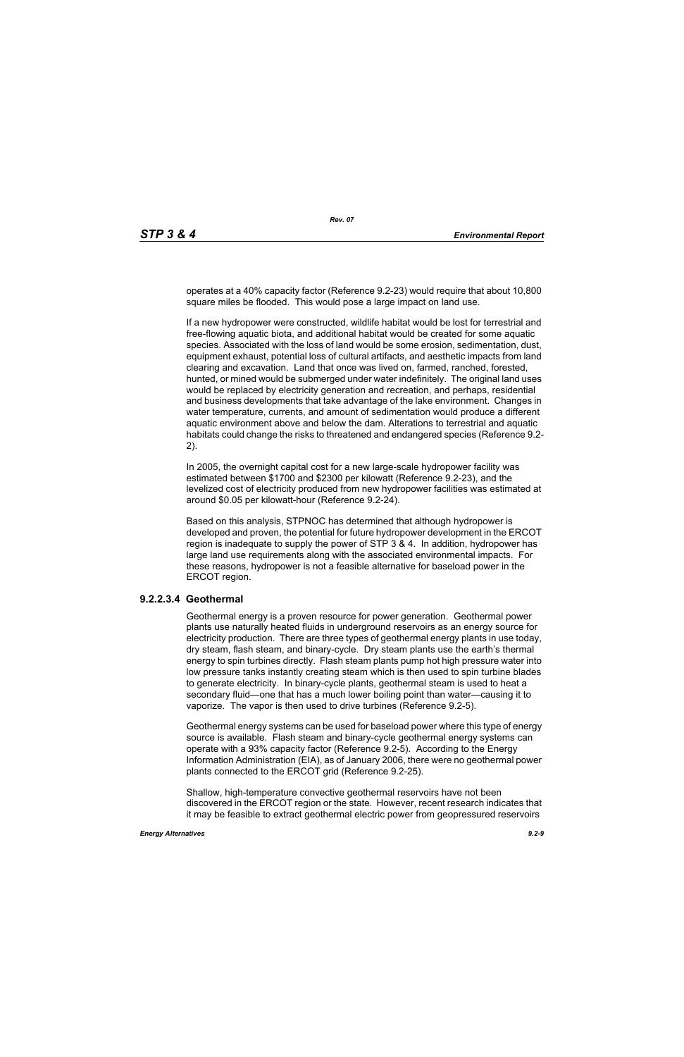operates at a 40% capacity factor (Reference 9.2-23) would require that about 10,800 square miles be flooded. This would pose a large impact on land use.

If a new hydropower were constructed, wildlife habitat would be lost for terrestrial and free-flowing aquatic biota, and additional habitat would be created for some aquatic species. Associated with the loss of land would be some erosion, sedimentation, dust, equipment exhaust, potential loss of cultural artifacts, and aesthetic impacts from land clearing and excavation. Land that once was lived on, farmed, ranched, forested, hunted, or mined would be submerged under water indefinitely. The original land uses would be replaced by electricity generation and recreation, and perhaps, residential and business developments that take advantage of the lake environment. Changes in water temperature, currents, and amount of sedimentation would produce a different aquatic environment above and below the dam. Alterations to terrestrial and aquatic habitats could change the risks to threatened and endangered species (Reference 9.2- 2).

In 2005, the overnight capital cost for a new large-scale hydropower facility was estimated between \$1700 and \$2300 per kilowatt (Reference 9.2-23), and the levelized cost of electricity produced from new hydropower facilities was estimated at around \$0.05 per kilowatt-hour (Reference 9.2-24).

Based on this analysis, STPNOC has determined that although hydropower is developed and proven, the potential for future hydropower development in the ERCOT region is inadequate to supply the power of STP 3 & 4. In addition, hydropower has large land use requirements along with the associated environmental impacts. For these reasons, hydropower is not a feasible alternative for baseload power in the ERCOT region.

### **9.2.2.3.4 Geothermal**

Geothermal energy is a proven resource for power generation. Geothermal power plants use naturally heated fluids in underground reservoirs as an energy source for electricity production. There are three types of geothermal energy plants in use today, dry steam, flash steam, and binary-cycle. Dry steam plants use the earth's thermal energy to spin turbines directly. Flash steam plants pump hot high pressure water into low pressure tanks instantly creating steam which is then used to spin turbine blades to generate electricity. In binary-cycle plants, geothermal steam is used to heat a secondary fluid—one that has a much lower boiling point than water—causing it to vaporize. The vapor is then used to drive turbines (Reference 9.2-5).

Geothermal energy systems can be used for baseload power where this type of energy source is available. Flash steam and binary-cycle geothermal energy systems can operate with a 93% capacity factor (Reference 9.2-5). According to the Energy Information Administration (EIA), as of January 2006, there were no geothermal power plants connected to the ERCOT grid (Reference 9.2-25).

Shallow, high-temperature convective geothermal reservoirs have not been discovered in the ERCOT region or the state. However, recent research indicates that it may be feasible to extract geothermal electric power from geopressured reservoirs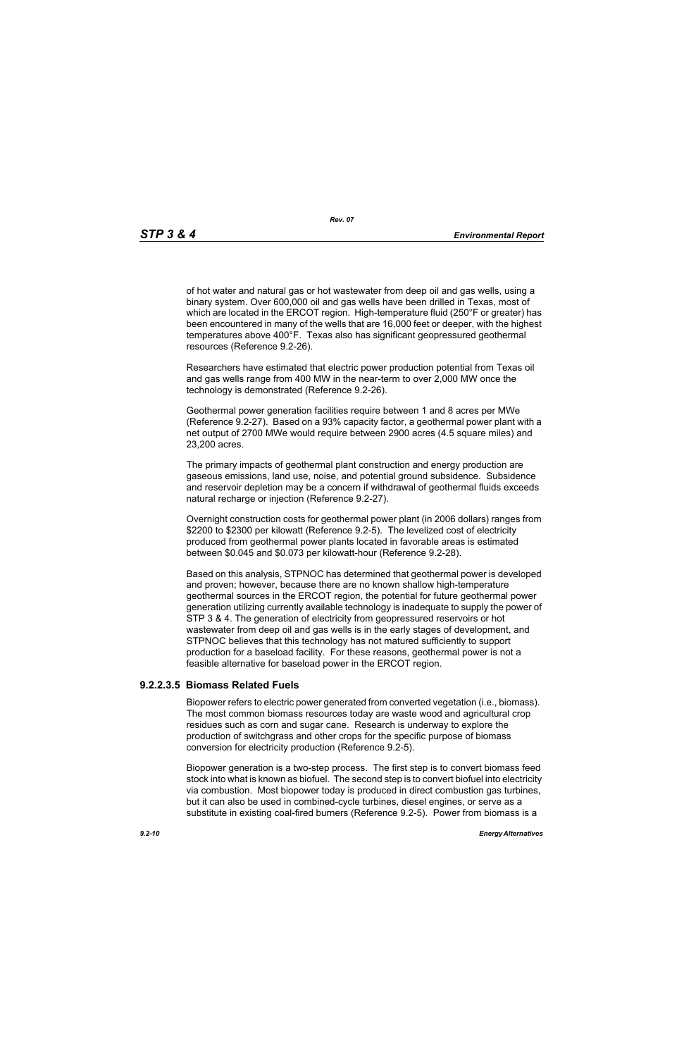of hot water and natural gas or hot wastewater from deep oil and gas wells, using a binary system. Over 600,000 oil and gas wells have been drilled in Texas, most of which are located in the ERCOT region. High-temperature fluid (250°F or greater) has been encountered in many of the wells that are 16,000 feet or deeper, with the highest temperatures above 400°F. Texas also has significant geopressured geothermal resources (Reference 9.2-26).

Researchers have estimated that electric power production potential from Texas oil and gas wells range from 400 MW in the near-term to over 2,000 MW once the technology is demonstrated (Reference 9.2-26).

Geothermal power generation facilities require between 1 and 8 acres per MWe (Reference 9.2-27). Based on a 93% capacity factor, a geothermal power plant with a net output of 2700 MWe would require between 2900 acres (4.5 square miles) and 23,200 acres.

The primary impacts of geothermal plant construction and energy production are gaseous emissions, land use, noise, and potential ground subsidence. Subsidence and reservoir depletion may be a concern if withdrawal of geothermal fluids exceeds natural recharge or injection (Reference 9.2-27).

Overnight construction costs for geothermal power plant (in 2006 dollars) ranges from \$2200 to \$2300 per kilowatt (Reference 9.2-5). The levelized cost of electricity produced from geothermal power plants located in favorable areas is estimated between \$0.045 and \$0.073 per kilowatt-hour (Reference 9.2-28).

Based on this analysis, STPNOC has determined that geothermal power is developed and proven; however, because there are no known shallow high-temperature geothermal sources in the ERCOT region, the potential for future geothermal power generation utilizing currently available technology is inadequate to supply the power of STP 3 & 4. The generation of electricity from geopressured reservoirs or hot wastewater from deep oil and gas wells is in the early stages of development, and STPNOC believes that this technology has not matured sufficiently to support production for a baseload facility. For these reasons, geothermal power is not a feasible alternative for baseload power in the ERCOT region.

## **9.2.2.3.5 Biomass Related Fuels**

Biopower refers to electric power generated from converted vegetation (i.e., biomass). The most common biomass resources today are waste wood and agricultural crop residues such as corn and sugar cane. Research is underway to explore the production of switchgrass and other crops for the specific purpose of biomass conversion for electricity production (Reference 9.2-5).

Biopower generation is a two-step process. The first step is to convert biomass feed stock into what is known as biofuel. The second step is to convert biofuel into electricity via combustion. Most biopower today is produced in direct combustion gas turbines, but it can also be used in combined-cycle turbines, diesel engines, or serve as a substitute in existing coal-fired burners (Reference 9.2-5). Power from biomass is a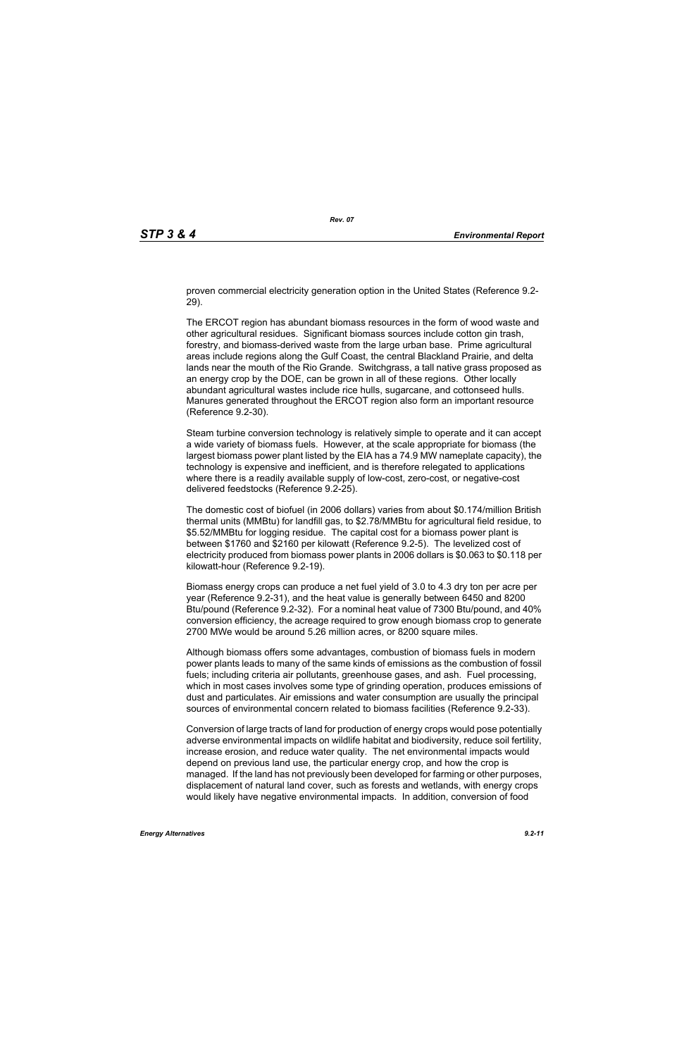proven commercial electricity generation option in the United States (Reference 9.2- 29).

The ERCOT region has abundant biomass resources in the form of wood waste and other agricultural residues. Significant biomass sources include cotton gin trash, forestry, and biomass-derived waste from the large urban base. Prime agricultural areas include regions along the Gulf Coast, the central Blackland Prairie, and delta lands near the mouth of the Rio Grande. Switchgrass, a tall native grass proposed as an energy crop by the DOE, can be grown in all of these regions. Other locally abundant agricultural wastes include rice hulls, sugarcane, and cottonseed hulls. Manures generated throughout the ERCOT region also form an important resource (Reference 9.2-30).

Steam turbine conversion technology is relatively simple to operate and it can accept a wide variety of biomass fuels. However, at the scale appropriate for biomass (the largest biomass power plant listed by the EIA has a 74.9 MW nameplate capacity), the technology is expensive and inefficient, and is therefore relegated to applications where there is a readily available supply of low-cost, zero-cost, or negative-cost delivered feedstocks (Reference 9.2-25).

The domestic cost of biofuel (in 2006 dollars) varies from about \$0.174/million British thermal units (MMBtu) for landfill gas, to \$2.78/MMBtu for agricultural field residue, to \$5.52/MMBtu for logging residue. The capital cost for a biomass power plant is between \$1760 and \$2160 per kilowatt (Reference 9.2-5). The levelized cost of electricity produced from biomass power plants in 2006 dollars is \$0.063 to \$0.118 per kilowatt-hour (Reference 9.2-19).

Biomass energy crops can produce a net fuel yield of 3.0 to 4.3 dry ton per acre per year (Reference 9.2-31), and the heat value is generally between 6450 and 8200 Btu/pound (Reference 9.2-32). For a nominal heat value of 7300 Btu/pound, and 40% conversion efficiency, the acreage required to grow enough biomass crop to generate 2700 MWe would be around 5.26 million acres, or 8200 square miles.

Although biomass offers some advantages, combustion of biomass fuels in modern power plants leads to many of the same kinds of emissions as the combustion of fossil fuels; including criteria air pollutants, greenhouse gases, and ash. Fuel processing, which in most cases involves some type of grinding operation, produces emissions of dust and particulates. Air emissions and water consumption are usually the principal sources of environmental concern related to biomass facilities (Reference 9.2-33).

Conversion of large tracts of land for production of energy crops would pose potentially adverse environmental impacts on wildlife habitat and biodiversity, reduce soil fertility, increase erosion, and reduce water quality. The net environmental impacts would depend on previous land use, the particular energy crop, and how the crop is managed. If the land has not previously been developed for farming or other purposes, displacement of natural land cover, such as forests and wetlands, with energy crops would likely have negative environmental impacts. In addition, conversion of food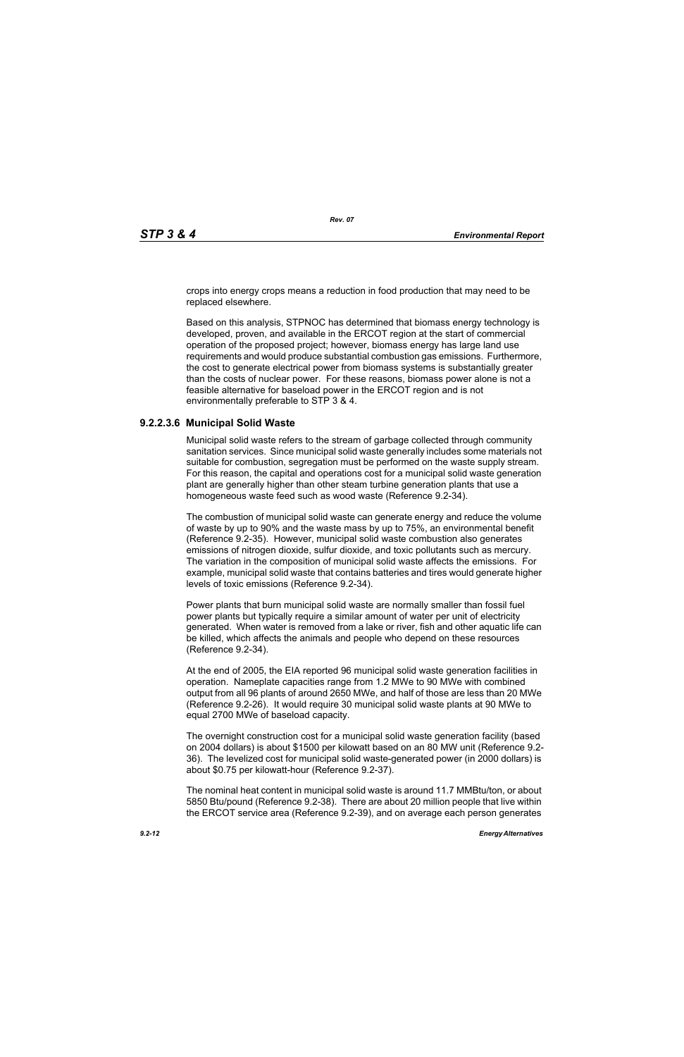crops into energy crops means a reduction in food production that may need to be replaced elsewhere.

Based on this analysis, STPNOC has determined that biomass energy technology is developed, proven, and available in the ERCOT region at the start of commercial operation of the proposed project; however, biomass energy has large land use requirements and would produce substantial combustion gas emissions. Furthermore, the cost to generate electrical power from biomass systems is substantially greater than the costs of nuclear power. For these reasons, biomass power alone is not a feasible alternative for baseload power in the ERCOT region and is not environmentally preferable to STP 3 & 4.

### **9.2.2.3.6 Municipal Solid Waste**

Municipal solid waste refers to the stream of garbage collected through community sanitation services. Since municipal solid waste generally includes some materials not suitable for combustion, segregation must be performed on the waste supply stream. For this reason, the capital and operations cost for a municipal solid waste generation plant are generally higher than other steam turbine generation plants that use a homogeneous waste feed such as wood waste (Reference 9.2-34).

The combustion of municipal solid waste can generate energy and reduce the volume of waste by up to 90% and the waste mass by up to 75%, an environmental benefit (Reference 9.2-35). However, municipal solid waste combustion also generates emissions of nitrogen dioxide, sulfur dioxide, and toxic pollutants such as mercury. The variation in the composition of municipal solid waste affects the emissions. For example, municipal solid waste that contains batteries and tires would generate higher levels of toxic emissions (Reference 9.2-34).

Power plants that burn municipal solid waste are normally smaller than fossil fuel power plants but typically require a similar amount of water per unit of electricity generated. When water is removed from a lake or river, fish and other aquatic life can be killed, which affects the animals and people who depend on these resources (Reference 9.2-34).

At the end of 2005, the EIA reported 96 municipal solid waste generation facilities in operation. Nameplate capacities range from 1.2 MWe to 90 MWe with combined output from all 96 plants of around 2650 MWe, and half of those are less than 20 MWe (Reference 9.2-26). It would require 30 municipal solid waste plants at 90 MWe to equal 2700 MWe of baseload capacity.

The overnight construction cost for a municipal solid waste generation facility (based on 2004 dollars) is about \$1500 per kilowatt based on an 80 MW unit (Reference 9.2- 36). The levelized cost for municipal solid waste-generated power (in 2000 dollars) is about \$0.75 per kilowatt-hour (Reference 9.2-37).

The nominal heat content in municipal solid waste is around 11.7 MMBtu/ton, or about 5850 Btu/pound (Reference 9.2-38). There are about 20 million people that live within the ERCOT service area (Reference 9.2-39), and on average each person generates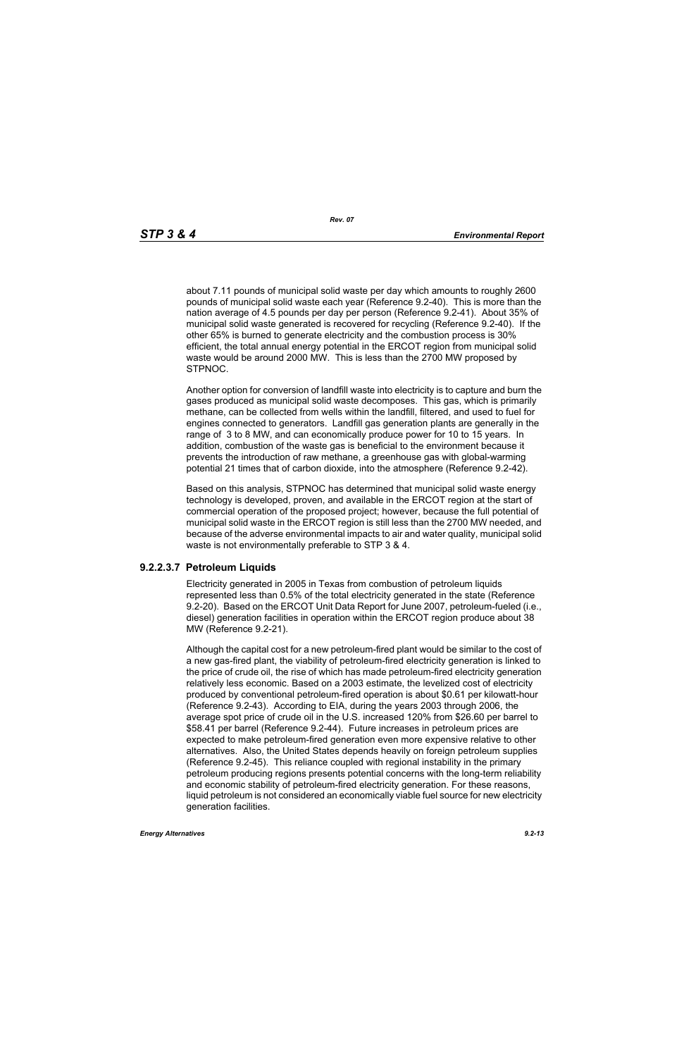about 7.11 pounds of municipal solid waste per day which amounts to roughly 2600 pounds of municipal solid waste each year (Reference 9.2-40). This is more than the nation average of 4.5 pounds per day per person (Reference 9.2-41). About 35% of municipal solid waste generated is recovered for recycling (Reference 9.2-40). If the other 65% is burned to generate electricity and the combustion process is 30% efficient, the total annual energy potential in the ERCOT region from municipal solid waste would be around 2000 MW. This is less than the 2700 MW proposed by STPNOC.

Another option for conversion of landfill waste into electricity is to capture and burn the gases produced as municipal solid waste decomposes. This gas, which is primarily methane, can be collected from wells within the landfill, filtered, and used to fuel for engines connected to generators. Landfill gas generation plants are generally in the range of 3 to 8 MW, and can economically produce power for 10 to 15 years. In addition, combustion of the waste gas is beneficial to the environment because it prevents the introduction of raw methane, a greenhouse gas with global-warming potential 21 times that of carbon dioxide, into the atmosphere (Reference 9.2-42).

Based on this analysis, STPNOC has determined that municipal solid waste energy technology is developed, proven, and available in the ERCOT region at the start of commercial operation of the proposed project; however, because the full potential of municipal solid waste in the ERCOT region is still less than the 2700 MW needed, and because of the adverse environmental impacts to air and water quality, municipal solid waste is not environmentally preferable to STP 3 & 4.

#### **9.2.2.3.7 Petroleum Liquids**

Electricity generated in 2005 in Texas from combustion of petroleum liquids represented less than 0.5% of the total electricity generated in the state (Reference 9.2-20). Based on the ERCOT Unit Data Report for June 2007, petroleum-fueled (i.e., diesel) generation facilities in operation within the ERCOT region produce about 38 MW (Reference 9.2-21).

Although the capital cost for a new petroleum-fired plant would be similar to the cost of a new gas-fired plant, the viability of petroleum-fired electricity generation is linked to the price of crude oil, the rise of which has made petroleum-fired electricity generation relatively less economic. Based on a 2003 estimate, the levelized cost of electricity produced by conventional petroleum-fired operation is about \$0.61 per kilowatt-hour (Reference 9.2-43). According to EIA, during the years 2003 through 2006, the average spot price of crude oil in the U.S. increased 120% from \$26.60 per barrel to \$58.41 per barrel (Reference 9.2-44). Future increases in petroleum prices are expected to make petroleum-fired generation even more expensive relative to other alternatives. Also, the United States depends heavily on foreign petroleum supplies (Reference 9.2-45). This reliance coupled with regional instability in the primary petroleum producing regions presents potential concerns with the long-term reliability and economic stability of petroleum-fired electricity generation. For these reasons, liquid petroleum is not considered an economically viable fuel source for new electricity generation facilities.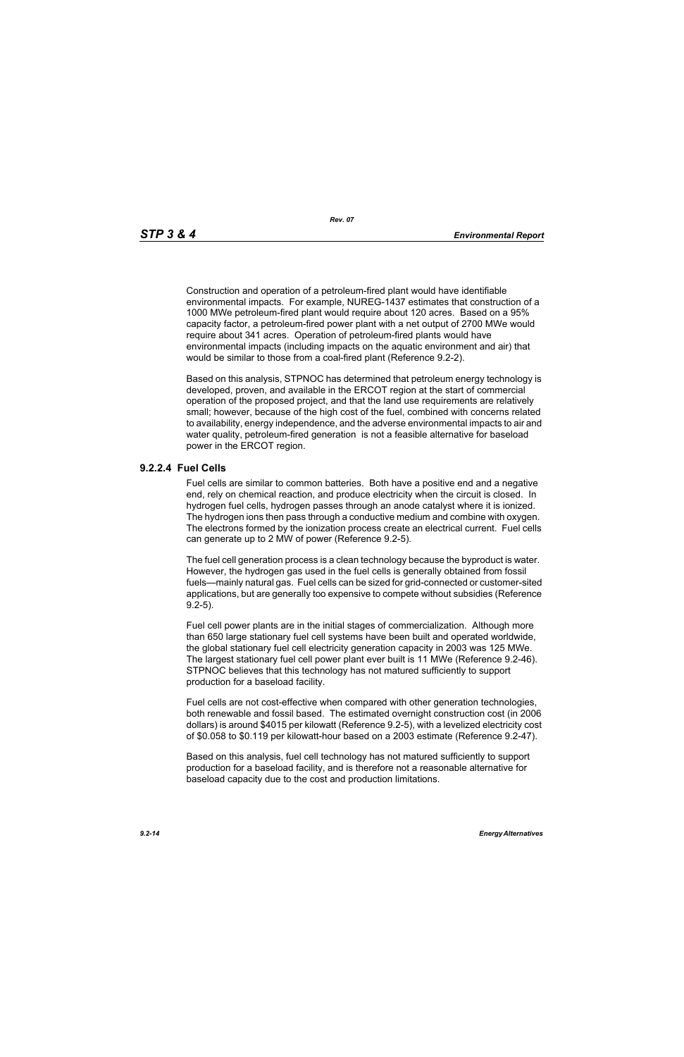Construction and operation of a petroleum-fired plant would have identifiable environmental impacts. For example, NUREG-1437 estimates that construction of a 1000 MWe petroleum-fired plant would require about 120 acres. Based on a 95% capacity factor, a petroleum-fired power plant with a net output of 2700 MWe would require about 341 acres. Operation of petroleum-fired plants would have environmental impacts (including impacts on the aquatic environment and air) that would be similar to those from a coal-fired plant (Reference 9.2-2).

Based on this analysis, STPNOC has determined that petroleum energy technology is developed, proven, and available in the ERCOT region at the start of commercial operation of the proposed project, and that the land use requirements are relatively small; however, because of the high cost of the fuel, combined with concerns related to availability, energy independence, and the adverse environmental impacts to air and water quality, petroleum-fired generation is not a feasible alternative for baseload power in the ERCOT region.

### **9.2.2.4 Fuel Cells**

Fuel cells are similar to common batteries. Both have a positive end and a negative end, rely on chemical reaction, and produce electricity when the circuit is closed. In hydrogen fuel cells, hydrogen passes through an anode catalyst where it is ionized. The hydrogen ions then pass through a conductive medium and combine with oxygen. The electrons formed by the ionization process create an electrical current. Fuel cells can generate up to 2 MW of power (Reference 9.2-5).

The fuel cell generation process is a clean technology because the byproduct is water. However, the hydrogen gas used in the fuel cells is generally obtained from fossil fuels—mainly natural gas. Fuel cells can be sized for grid-connected or customer-sited applications, but are generally too expensive to compete without subsidies (Reference 9.2-5).

Fuel cell power plants are in the initial stages of commercialization. Although more than 650 large stationary fuel cell systems have been built and operated worldwide, the global stationary fuel cell electricity generation capacity in 2003 was 125 MWe. The largest stationary fuel cell power plant ever built is 11 MWe (Reference 9.2-46). STPNOC believes that this technology has not matured sufficiently to support production for a baseload facility.

Fuel cells are not cost-effective when compared with other generation technologies, both renewable and fossil based. The estimated overnight construction cost (in 2006 dollars) is around \$4015 per kilowatt (Reference 9.2-5), with a levelized electricity cost of \$0.058 to \$0.119 per kilowatt-hour based on a 2003 estimate (Reference 9.2-47).

Based on this analysis, fuel cell technology has not matured sufficiently to support production for a baseload facility, and is therefore not a reasonable alternative for baseload capacity due to the cost and production limitations.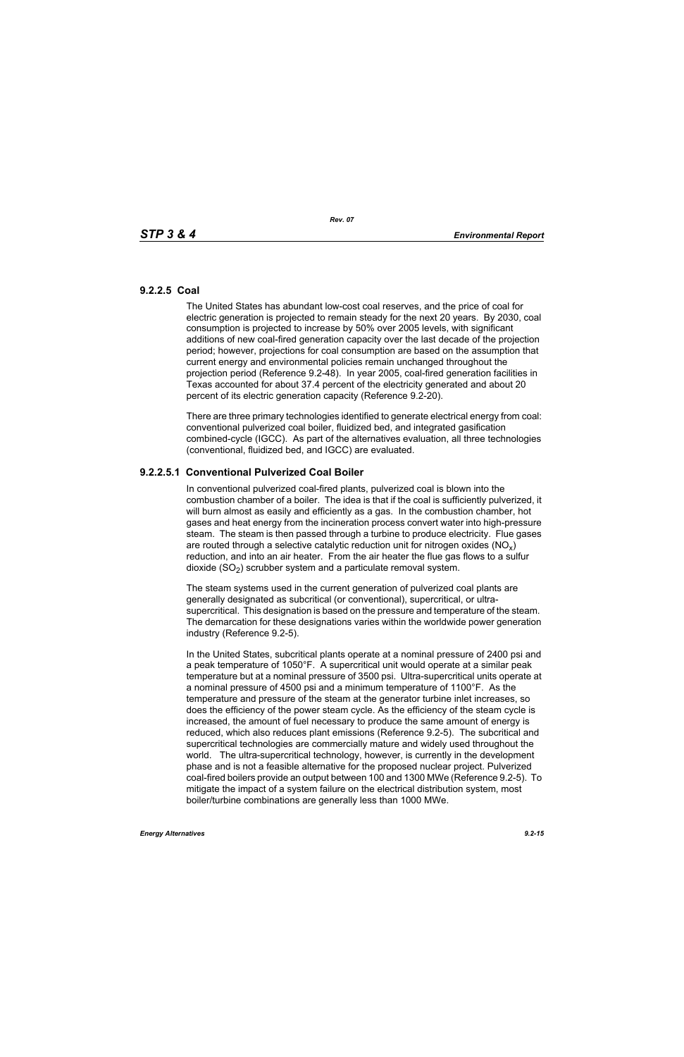## **9.2.2.5 Coal**

The United States has abundant low-cost coal reserves, and the price of coal for electric generation is projected to remain steady for the next 20 years. By 2030, coal consumption is projected to increase by 50% over 2005 levels, with significant additions of new coal-fired generation capacity over the last decade of the projection period; however, projections for coal consumption are based on the assumption that current energy and environmental policies remain unchanged throughout the projection period (Reference 9.2-48). In year 2005, coal-fired generation facilities in Texas accounted for about 37.4 percent of the electricity generated and about 20 percent of its electric generation capacity (Reference 9.2-20).

There are three primary technologies identified to generate electrical energy from coal: conventional pulverized coal boiler, fluidized bed, and integrated gasification combined-cycle (IGCC). As part of the alternatives evaluation, all three technologies (conventional, fluidized bed, and IGCC) are evaluated.

# **9.2.2.5.1 Conventional Pulverized Coal Boiler**

In conventional pulverized coal-fired plants, pulverized coal is blown into the combustion chamber of a boiler. The idea is that if the coal is sufficiently pulverized, it will burn almost as easily and efficiently as a gas. In the combustion chamber, hot gases and heat energy from the incineration process convert water into high-pressure steam. The steam is then passed through a turbine to produce electricity. Flue gases are routed through a selective catalytic reduction unit for nitrogen oxides ( $NO<sub>v</sub>$ ) reduction, and into an air heater. From the air heater the flue gas flows to a sulfur dioxide  $(SO<sub>2</sub>)$  scrubber system and a particulate removal system.

The steam systems used in the current generation of pulverized coal plants are generally designated as subcritical (or conventional), supercritical, or ultrasupercritical. This designation is based on the pressure and temperature of the steam. The demarcation for these designations varies within the worldwide power generation industry (Reference 9.2-5).

In the United States, subcritical plants operate at a nominal pressure of 2400 psi and a peak temperature of 1050°F. A supercritical unit would operate at a similar peak temperature but at a nominal pressure of 3500 psi. Ultra-supercritical units operate at a nominal pressure of 4500 psi and a minimum temperature of 1100°F. As the temperature and pressure of the steam at the generator turbine inlet increases, so does the efficiency of the power steam cycle. As the efficiency of the steam cycle is increased, the amount of fuel necessary to produce the same amount of energy is reduced, which also reduces plant emissions (Reference 9.2-5). The subcritical and supercritical technologies are commercially mature and widely used throughout the world. The ultra-supercritical technology, however, is currently in the development phase and is not a feasible alternative for the proposed nuclear project. Pulverized coal-fired boilers provide an output between 100 and 1300 MWe (Reference 9.2-5). To mitigate the impact of a system failure on the electrical distribution system, most boiler/turbine combinations are generally less than 1000 MWe.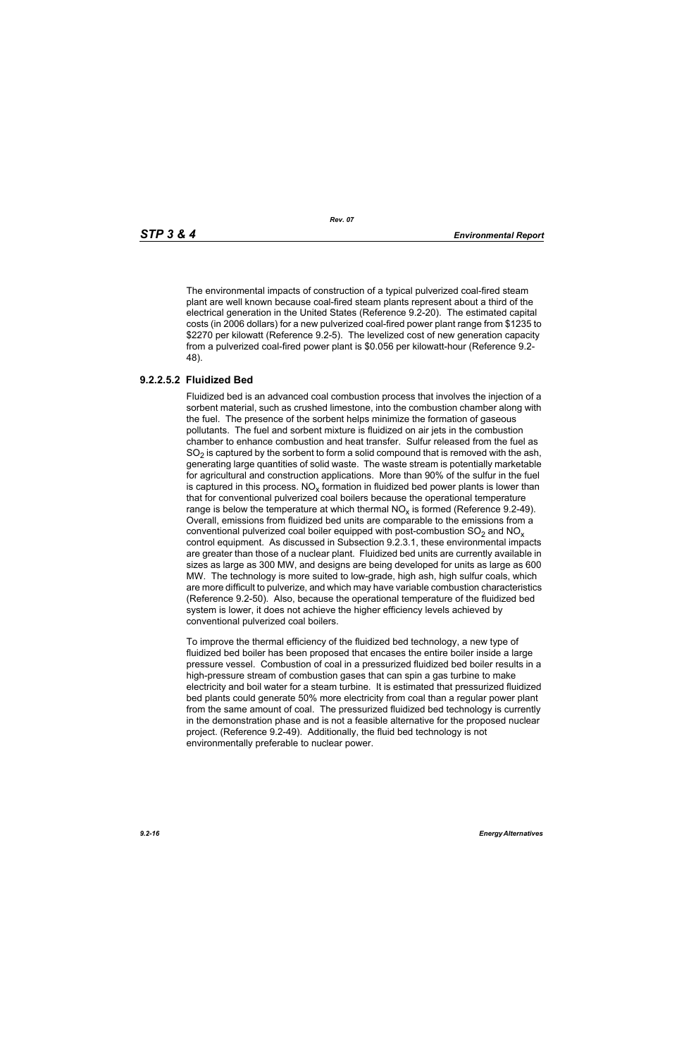The environmental impacts of construction of a typical pulverized coal-fired steam plant are well known because coal-fired steam plants represent about a third of the electrical generation in the United States (Reference 9.2-20). The estimated capital costs (in 2006 dollars) for a new pulverized coal-fired power plant range from \$1235 to \$2270 per kilowatt (Reference 9.2-5). The levelized cost of new generation capacity from a pulverized coal-fired power plant is \$0.056 per kilowatt-hour (Reference 9.2- 48).

# **9.2.2.5.2 Fluidized Bed**

Fluidized bed is an advanced coal combustion process that involves the injection of a sorbent material, such as crushed limestone, into the combustion chamber along with the fuel. The presence of the sorbent helps minimize the formation of gaseous pollutants. The fuel and sorbent mixture is fluidized on air jets in the combustion chamber to enhance combustion and heat transfer. Sulfur released from the fuel as  $SO<sub>2</sub>$  is captured by the sorbent to form a solid compound that is removed with the ash, generating large quantities of solid waste. The waste stream is potentially marketable for agricultural and construction applications. More than 90% of the sulfur in the fuel is captured in this process.  $NO_{v}$  formation in fluidized bed power plants is lower than that for conventional pulverized coal boilers because the operational temperature range is below the temperature at which thermal  $NO<sub>x</sub>$  is formed (Reference 9.2-49). Overall, emissions from fluidized bed units are comparable to the emissions from a conventional pulverized coal boiler equipped with post-combustion  $SO<sub>2</sub>$  and  $NO<sub>x</sub>$ control equipment. As discussed in Subsection 9.2.3.1, these environmental impacts are greater than those of a nuclear plant. Fluidized bed units are currently available in sizes as large as 300 MW, and designs are being developed for units as large as 600 MW. The technology is more suited to low-grade, high ash, high sulfur coals, which are more difficult to pulverize, and which may have variable combustion characteristics (Reference 9.2-50). Also, because the operational temperature of the fluidized bed system is lower, it does not achieve the higher efficiency levels achieved by conventional pulverized coal boilers.

To improve the thermal efficiency of the fluidized bed technology, a new type of fluidized bed boiler has been proposed that encases the entire boiler inside a large pressure vessel. Combustion of coal in a pressurized fluidized bed boiler results in a high-pressure stream of combustion gases that can spin a gas turbine to make electricity and boil water for a steam turbine. It is estimated that pressurized fluidized bed plants could generate 50% more electricity from coal than a regular power plant from the same amount of coal. The pressurized fluidized bed technology is currently in the demonstration phase and is not a feasible alternative for the proposed nuclear project. (Reference 9.2-49). Additionally, the fluid bed technology is not environmentally preferable to nuclear power.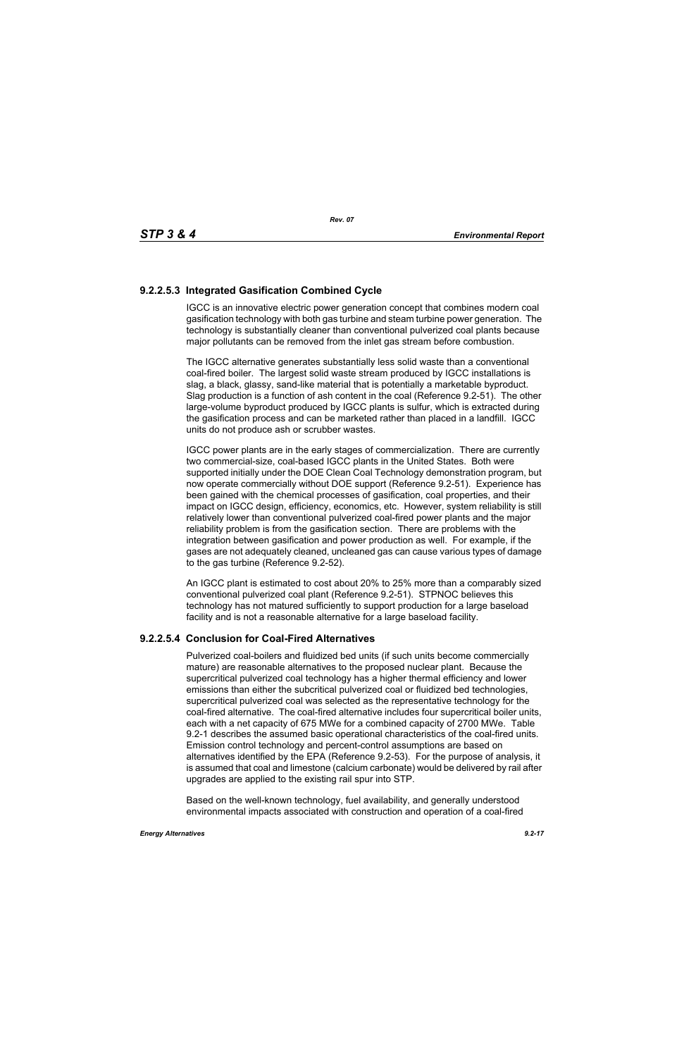# **9.2.2.5.3 Integrated Gasification Combined Cycle**

IGCC is an innovative electric power generation concept that combines modern coal gasification technology with both gas turbine and steam turbine power generation. The technology is substantially cleaner than conventional pulverized coal plants because major pollutants can be removed from the inlet gas stream before combustion.

The IGCC alternative generates substantially less solid waste than a conventional coal-fired boiler. The largest solid waste stream produced by IGCC installations is slag, a black, glassy, sand-like material that is potentially a marketable byproduct. Slag production is a function of ash content in the coal (Reference 9.2-51). The other large-volume byproduct produced by IGCC plants is sulfur, which is extracted during the gasification process and can be marketed rather than placed in a landfill. IGCC units do not produce ash or scrubber wastes.

IGCC power plants are in the early stages of commercialization. There are currently two commercial-size, coal-based IGCC plants in the United States. Both were supported initially under the DOE Clean Coal Technology demonstration program, but now operate commercially without DOE support (Reference 9.2-51). Experience has been gained with the chemical processes of gasification, coal properties, and their impact on IGCC design, efficiency, economics, etc. However, system reliability is still relatively lower than conventional pulverized coal-fired power plants and the major reliability problem is from the gasification section. There are problems with the integration between gasification and power production as well. For example, if the gases are not adequately cleaned, uncleaned gas can cause various types of damage to the gas turbine (Reference 9.2-52).

An IGCC plant is estimated to cost about 20% to 25% more than a comparably sized conventional pulverized coal plant (Reference 9.2-51). STPNOC believes this technology has not matured sufficiently to support production for a large baseload facility and is not a reasonable alternative for a large baseload facility.

## **9.2.2.5.4 Conclusion for Coal-Fired Alternatives**

Pulverized coal-boilers and fluidized bed units (if such units become commercially mature) are reasonable alternatives to the proposed nuclear plant. Because the supercritical pulverized coal technology has a higher thermal efficiency and lower emissions than either the subcritical pulverized coal or fluidized bed technologies, supercritical pulverized coal was selected as the representative technology for the coal-fired alternative. The coal-fired alternative includes four supercritical boiler units, each with a net capacity of 675 MWe for a combined capacity of 2700 MWe. Table 9.2-1 describes the assumed basic operational characteristics of the coal-fired units. Emission control technology and percent-control assumptions are based on alternatives identified by the EPA (Reference 9.2-53). For the purpose of analysis, it is assumed that coal and limestone (calcium carbonate) would be delivered by rail after upgrades are applied to the existing rail spur into STP.

Based on the well-known technology, fuel availability, and generally understood environmental impacts associated with construction and operation of a coal-fired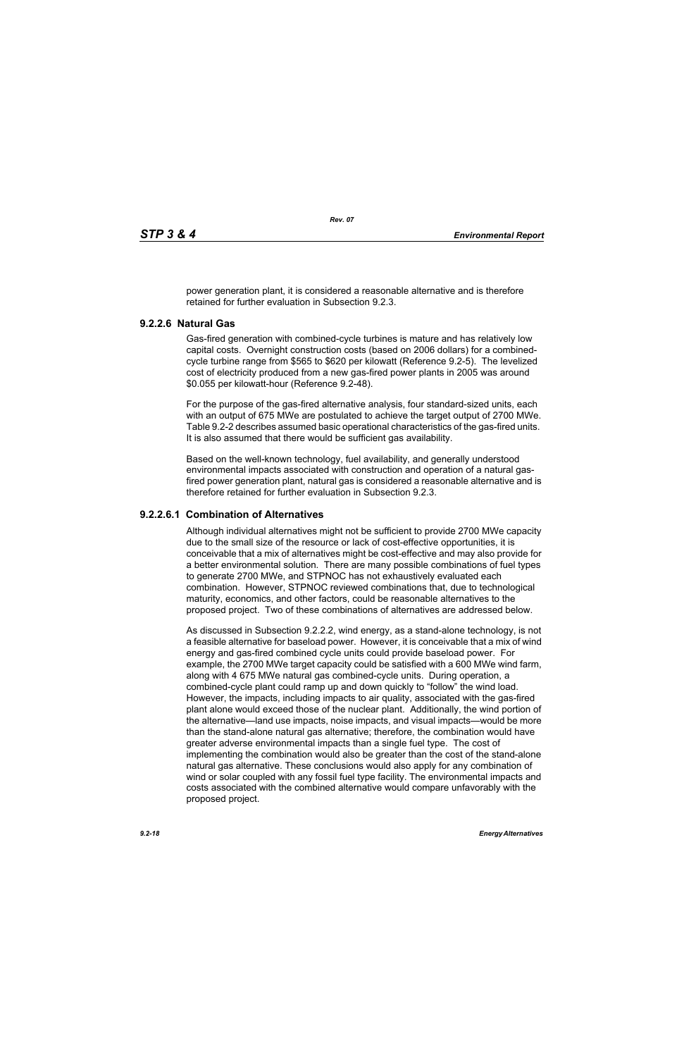power generation plant, it is considered a reasonable alternative and is therefore retained for further evaluation in Subsection 9.2.3.

## **9.2.2.6 Natural Gas**

Gas-fired generation with combined-cycle turbines is mature and has relatively low capital costs. Overnight construction costs (based on 2006 dollars) for a combinedcycle turbine range from \$565 to \$620 per kilowatt (Reference 9.2-5). The levelized cost of electricity produced from a new gas-fired power plants in 2005 was around \$0.055 per kilowatt-hour (Reference 9.2-48).

For the purpose of the gas-fired alternative analysis, four standard-sized units, each with an output of 675 MWe are postulated to achieve the target output of 2700 MWe. Table 9.2-2 describes assumed basic operational characteristics of the gas-fired units. It is also assumed that there would be sufficient gas availability.

Based on the well-known technology, fuel availability, and generally understood environmental impacts associated with construction and operation of a natural gasfired power generation plant, natural gas is considered a reasonable alternative and is therefore retained for further evaluation in Subsection 9.2.3.

# **9.2.2.6.1 Combination of Alternatives**

Although individual alternatives might not be sufficient to provide 2700 MWe capacity due to the small size of the resource or lack of cost-effective opportunities, it is conceivable that a mix of alternatives might be cost-effective and may also provide for a better environmental solution. There are many possible combinations of fuel types to generate 2700 MWe, and STPNOC has not exhaustively evaluated each combination. However, STPNOC reviewed combinations that, due to technological maturity, economics, and other factors, could be reasonable alternatives to the proposed project. Two of these combinations of alternatives are addressed below.

As discussed in Subsection 9.2.2.2, wind energy, as a stand-alone technology, is not a feasible alternative for baseload power. However, it is conceivable that a mix of wind energy and gas-fired combined cycle units could provide baseload power. For example, the 2700 MWe target capacity could be satisfied with a 600 MWe wind farm, along with 4 675 MWe natural gas combined-cycle units. During operation, a combined-cycle plant could ramp up and down quickly to "follow" the wind load. However, the impacts, including impacts to air quality, associated with the gas-fired plant alone would exceed those of the nuclear plant. Additionally, the wind portion of the alternative—land use impacts, noise impacts, and visual impacts—would be more than the stand-alone natural gas alternative; therefore, the combination would have greater adverse environmental impacts than a single fuel type. The cost of implementing the combination would also be greater than the cost of the stand-alone natural gas alternative. These conclusions would also apply for any combination of wind or solar coupled with any fossil fuel type facility. The environmental impacts and costs associated with the combined alternative would compare unfavorably with the proposed project.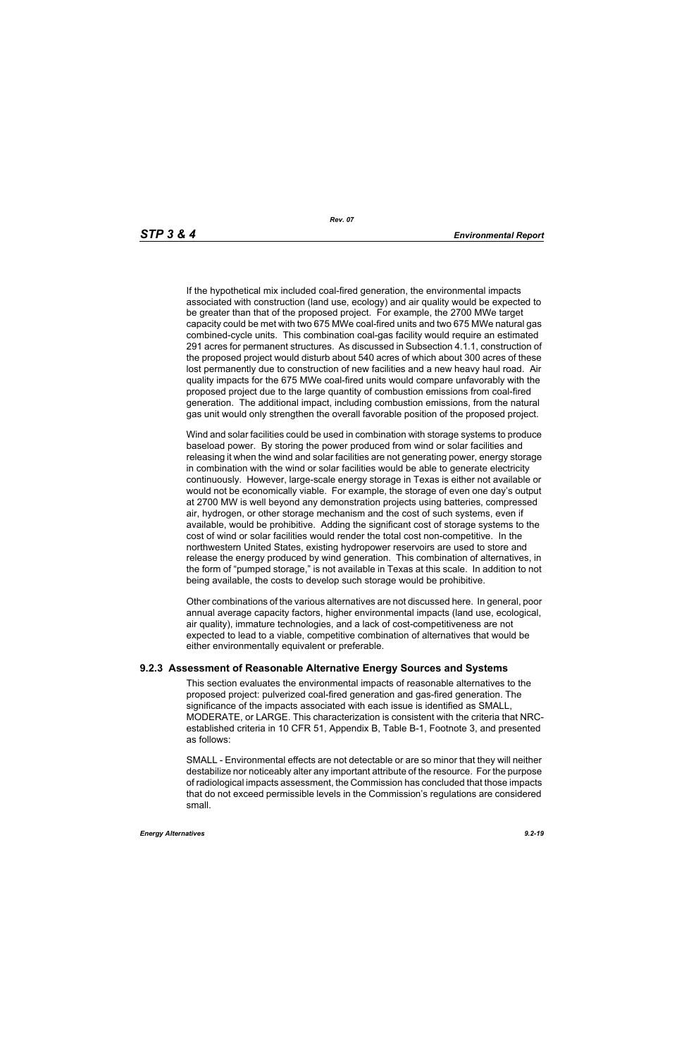If the hypothetical mix included coal-fired generation, the environmental impacts associated with construction (land use, ecology) and air quality would be expected to be greater than that of the proposed project. For example, the 2700 MWe target capacity could be met with two 675 MWe coal-fired units and two 675 MWe natural gas combined-cycle units. This combination coal-gas facility would require an estimated 291 acres for permanent structures. As discussed in Subsection 4.1.1, construction of the proposed project would disturb about 540 acres of which about 300 acres of these lost permanently due to construction of new facilities and a new heavy haul road. Air quality impacts for the 675 MWe coal-fired units would compare unfavorably with the proposed project due to the large quantity of combustion emissions from coal-fired generation. The additional impact, including combustion emissions, from the natural gas unit would only strengthen the overall favorable position of the proposed project.

Wind and solar facilities could be used in combination with storage systems to produce baseload power. By storing the power produced from wind or solar facilities and releasing it when the wind and solar facilities are not generating power, energy storage in combination with the wind or solar facilities would be able to generate electricity continuously. However, large-scale energy storage in Texas is either not available or would not be economically viable. For example, the storage of even one day's output at 2700 MW is well beyond any demonstration projects using batteries, compressed air, hydrogen, or other storage mechanism and the cost of such systems, even if available, would be prohibitive. Adding the significant cost of storage systems to the cost of wind or solar facilities would render the total cost non-competitive. In the northwestern United States, existing hydropower reservoirs are used to store and release the energy produced by wind generation. This combination of alternatives, in the form of "pumped storage," is not available in Texas at this scale. In addition to not being available, the costs to develop such storage would be prohibitive.

Other combinations of the various alternatives are not discussed here. In general, poor annual average capacity factors, higher environmental impacts (land use, ecological, air quality), immature technologies, and a lack of cost-competitiveness are not expected to lead to a viable, competitive combination of alternatives that would be either environmentally equivalent or preferable.

### **9.2.3 Assessment of Reasonable Alternative Energy Sources and Systems**

This section evaluates the environmental impacts of reasonable alternatives to the proposed project: pulverized coal-fired generation and gas-fired generation. The significance of the impacts associated with each issue is identified as SMALL, MODERATE, or LARGE. This characterization is consistent with the criteria that NRCestablished criteria in 10 CFR 51, Appendix B, Table B-1, Footnote 3, and presented as follows:

SMALL - Environmental effects are not detectable or are so minor that they will neither destabilize nor noticeably alter any important attribute of the resource. For the purpose of radiological impacts assessment, the Commission has concluded that those impacts that do not exceed permissible levels in the Commission's regulations are considered small.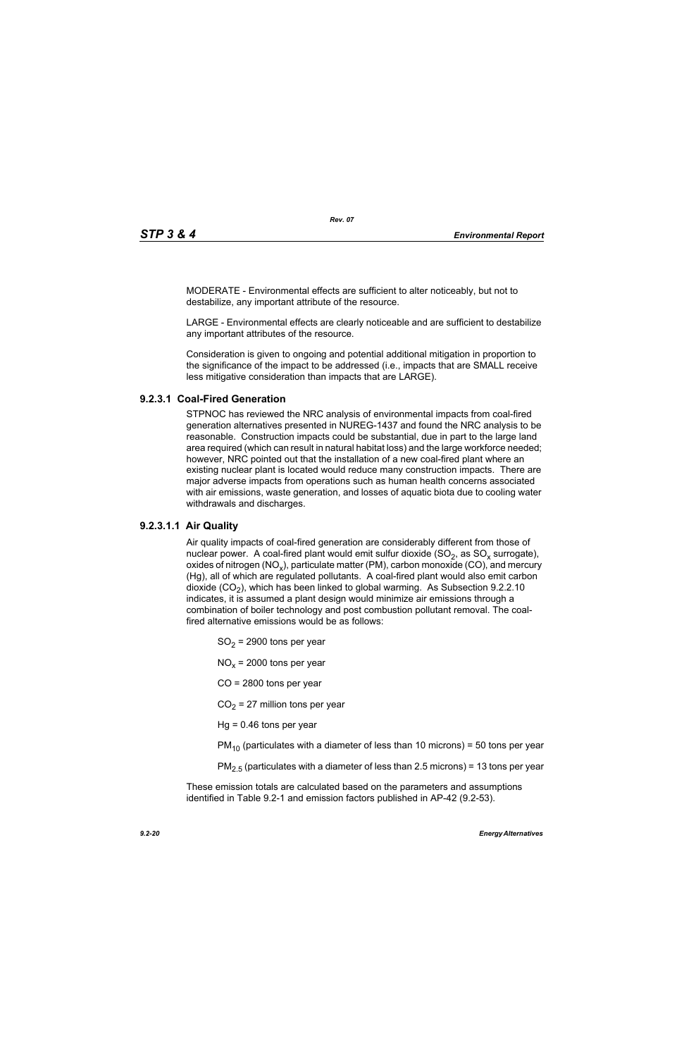MODERATE - Environmental effects are sufficient to alter noticeably, but not to destabilize, any important attribute of the resource.

LARGE - Environmental effects are clearly noticeable and are sufficient to destabilize any important attributes of the resource.

Consideration is given to ongoing and potential additional mitigation in proportion to the significance of the impact to be addressed (i.e., impacts that are SMALL receive less mitigative consideration than impacts that are LARGE).

# **9.2.3.1 Coal-Fired Generation**

STPNOC has reviewed the NRC analysis of environmental impacts from coal-fired generation alternatives presented in NUREG-1437 and found the NRC analysis to be reasonable. Construction impacts could be substantial, due in part to the large land area required (which can result in natural habitat loss) and the large workforce needed; however, NRC pointed out that the installation of a new coal-fired plant where an existing nuclear plant is located would reduce many construction impacts. There are major adverse impacts from operations such as human health concerns associated with air emissions, waste generation, and losses of aquatic biota due to cooling water withdrawals and discharges.

# **9.2.3.1.1 Air Quality**

Air quality impacts of coal-fired generation are considerably different from those of nuclear power. A coal-fired plant would emit sulfur dioxide  $(SO<sub>2</sub>)$ , as  $SO<sub>x</sub>$  surrogate), oxides of nitrogen (NO<sub>x</sub>), particulate matter (PM), carbon monoxide (CO), and mercury (Hg), all of which are regulated pollutants. A coal-fired plant would also emit carbon dioxide  $(CO<sub>2</sub>)$ , which has been linked to global warming. As Subsection 9.2.2.10 indicates, it is assumed a plant design would minimize air emissions through a combination of boiler technology and post combustion pollutant removal. The coalfired alternative emissions would be as follows:

 $SO<sub>2</sub>$  = 2900 tons per year

 $NO<sub>x</sub>$  = 2000 tons per year

CO = 2800 tons per year

 $CO<sub>2</sub> = 27$  million tons per year

 $Hq = 0.46$  tons per year

 $PM_{10}$  (particulates with a diameter of less than 10 microns) = 50 tons per year

 $PM<sub>2.5</sub>$  (particulates with a diameter of less than 2.5 microns) = 13 tons per year

These emission totals are calculated based on the parameters and assumptions identified in Table 9.2-1 and emission factors published in AP-42 (9.2-53).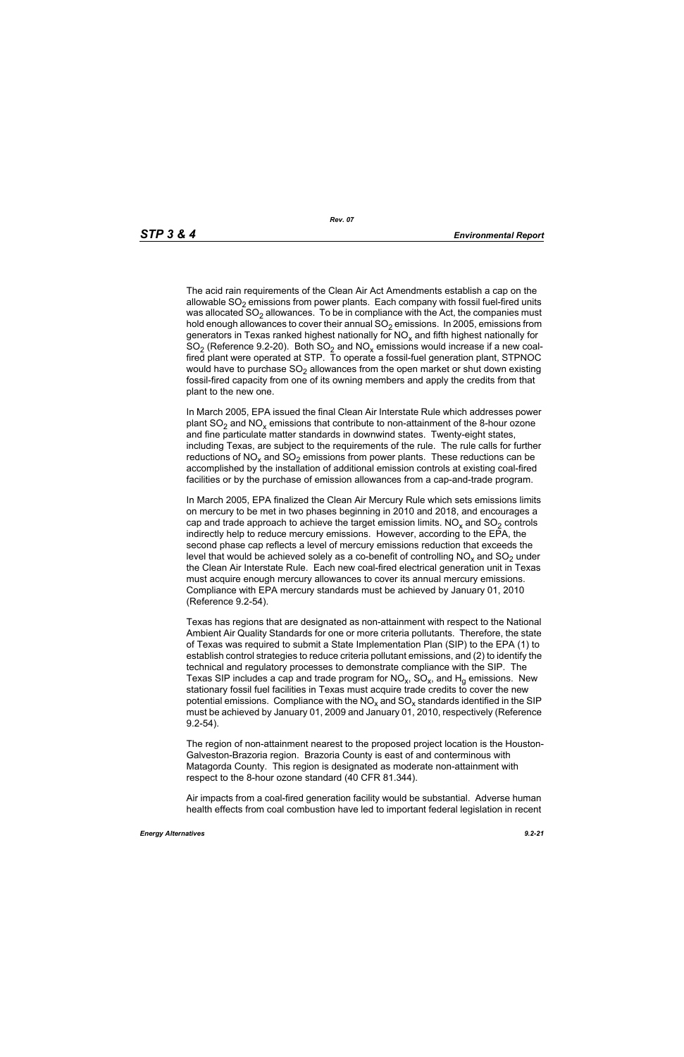The acid rain requirements of the Clean Air Act Amendments establish a cap on the allowable  $SO<sub>2</sub>$  emissions from power plants. Each company with fossil fuel-fired units was allocated  $SO<sub>2</sub>$  allowances. To be in compliance with the Act, the companies must hold enough allowances to cover their annual  $SO<sub>2</sub>$  emissions. In 2005, emissions from generators in Texas ranked highest nationally for  $NO<sub>x</sub>$  and fifth highest nationally for  $SO<sub>2</sub>$  (Reference 9.2-20). Both  $SO<sub>2</sub>$  and  $NO<sub>x</sub>$  emissions would increase if a new coalfired plant were operated at STP. To operate a fossil-fuel generation plant, STPNOC would have to purchase  $SO<sub>2</sub>$  allowances from the open market or shut down existing fossil-fired capacity from one of its owning members and apply the credits from that plant to the new one.

In March 2005, EPA issued the final Clean Air Interstate Rule which addresses power plant  $SO_2$  and  $NO_x$  emissions that contribute to non-attainment of the 8-hour ozone and fine particulate matter standards in downwind states. Twenty-eight states, including Texas, are subject to the requirements of the rule. The rule calls for further reductions of  $NO<sub>x</sub>$  and  $SO<sub>2</sub>$  emissions from power plants. These reductions can be accomplished by the installation of additional emission controls at existing coal-fired facilities or by the purchase of emission allowances from a cap-and-trade program.

In March 2005, EPA finalized the Clean Air Mercury Rule which sets emissions limits on mercury to be met in two phases beginning in 2010 and 2018, and encourages a cap and trade approach to achieve the target emission limits.  $NO<sub>x</sub>$  and  $SO<sub>2</sub>$  controls indirectly help to reduce mercury emissions. However, according to the EPA, the second phase cap reflects a level of mercury emissions reduction that exceeds the level that would be achieved solely as a co-benefit of controlling  $NO<sub>x</sub>$  and  $SO<sub>2</sub>$  under the Clean Air Interstate Rule. Each new coal-fired electrical generation unit in Texas must acquire enough mercury allowances to cover its annual mercury emissions. Compliance with EPA mercury standards must be achieved by January 01, 2010 (Reference 9.2-54).

Texas has regions that are designated as non-attainment with respect to the National Ambient Air Quality Standards for one or more criteria pollutants. Therefore, the state of Texas was required to submit a State Implementation Plan (SIP) to the EPA (1) to establish control strategies to reduce criteria pollutant emissions, and (2) to identify the technical and regulatory processes to demonstrate compliance with the SIP. The Texas SIP includes a cap and trade program for  $NO<sub>x</sub>$ ,  $SO<sub>x</sub>$ , and  $H<sub>q</sub>$  emissions. New stationary fossil fuel facilities in Texas must acquire trade credits to cover the new potential emissions. Compliance with the  $NO<sub>x</sub>$  and  $SO<sub>x</sub>$  standards identified in the SIP must be achieved by January 01, 2009 and January 01, 2010, respectively (Reference 9.2-54).

The region of non-attainment nearest to the proposed project location is the Houston-Galveston-Brazoria region. Brazoria County is east of and conterminous with Matagorda County. This region is designated as moderate non-attainment with respect to the 8-hour ozone standard (40 CFR 81.344).

Air impacts from a coal-fired generation facility would be substantial. Adverse human health effects from coal combustion have led to important federal legislation in recent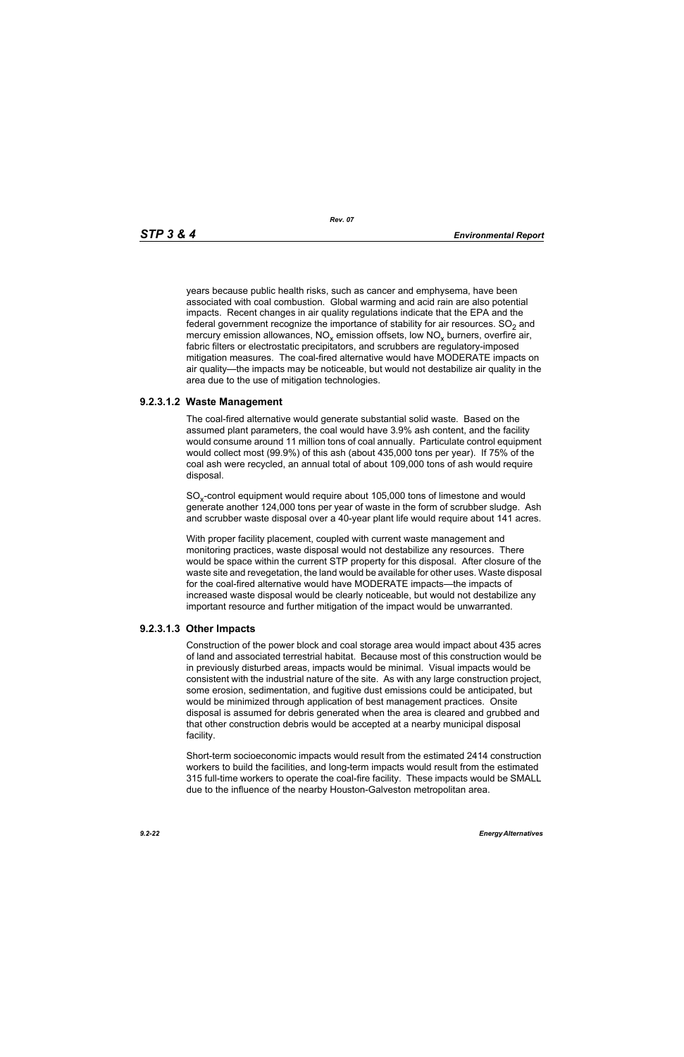years because public health risks, such as cancer and emphysema, have been associated with coal combustion. Global warming and acid rain are also potential impacts. Recent changes in air quality regulations indicate that the EPA and the federal government recognize the importance of stability for air resources.  $SO<sub>2</sub>$  and mercury emission allowances,  $NO_x$  emission offsets, low  $NO_x$  burners, overfire air, fabric filters or electrostatic precipitators, and scrubbers are regulatory-imposed mitigation measures. The coal-fired alternative would have MODERATE impacts on air quality—the impacts may be noticeable, but would not destabilize air quality in the area due to the use of mitigation technologies.

# **9.2.3.1.2 Waste Management**

The coal-fired alternative would generate substantial solid waste. Based on the assumed plant parameters, the coal would have 3.9% ash content, and the facility would consume around 11 million tons of coal annually. Particulate control equipment would collect most (99.9%) of this ash (about 435,000 tons per year). If 75% of the coal ash were recycled, an annual total of about 109,000 tons of ash would require disposal.

SO<sub>y</sub>-control equipment would require about 105,000 tons of limestone and would generate another 124,000 tons per year of waste in the form of scrubber sludge. Ash and scrubber waste disposal over a 40-year plant life would require about 141 acres.

With proper facility placement, coupled with current waste management and monitoring practices, waste disposal would not destabilize any resources. There would be space within the current STP property for this disposal. After closure of the waste site and revegetation, the land would be available for other uses. Waste disposal for the coal-fired alternative would have MODERATE impacts—the impacts of increased waste disposal would be clearly noticeable, but would not destabilize any important resource and further mitigation of the impact would be unwarranted.

## **9.2.3.1.3 Other Impacts**

Construction of the power block and coal storage area would impact about 435 acres of land and associated terrestrial habitat. Because most of this construction would be in previously disturbed areas, impacts would be minimal. Visual impacts would be consistent with the industrial nature of the site. As with any large construction project, some erosion, sedimentation, and fugitive dust emissions could be anticipated, but would be minimized through application of best management practices. Onsite disposal is assumed for debris generated when the area is cleared and grubbed and that other construction debris would be accepted at a nearby municipal disposal facility.

Short-term socioeconomic impacts would result from the estimated 2414 construction workers to build the facilities, and long-term impacts would result from the estimated 315 full-time workers to operate the coal-fire facility. These impacts would be SMALL due to the influence of the nearby Houston-Galveston metropolitan area.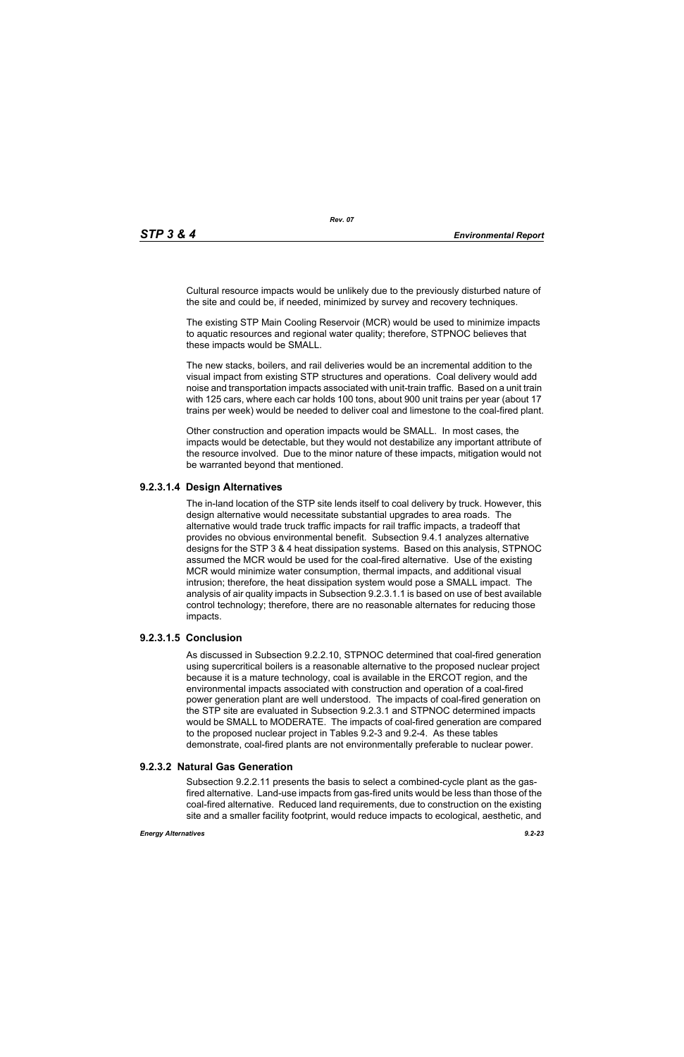Cultural resource impacts would be unlikely due to the previously disturbed nature of the site and could be, if needed, minimized by survey and recovery techniques.

The existing STP Main Cooling Reservoir (MCR) would be used to minimize impacts to aquatic resources and regional water quality; therefore, STPNOC believes that these impacts would be SMALL.

The new stacks, boilers, and rail deliveries would be an incremental addition to the visual impact from existing STP structures and operations. Coal delivery would add noise and transportation impacts associated with unit-train traffic. Based on a unit train with 125 cars, where each car holds 100 tons, about 900 unit trains per year (about 17 trains per week) would be needed to deliver coal and limestone to the coal-fired plant.

Other construction and operation impacts would be SMALL. In most cases, the impacts would be detectable, but they would not destabilize any important attribute of the resource involved. Due to the minor nature of these impacts, mitigation would not be warranted beyond that mentioned.

# **9.2.3.1.4 Design Alternatives**

The in-land location of the STP site lends itself to coal delivery by truck. However, this design alternative would necessitate substantial upgrades to area roads. The alternative would trade truck traffic impacts for rail traffic impacts, a tradeoff that provides no obvious environmental benefit. Subsection 9.4.1 analyzes alternative designs for the STP 3 & 4 heat dissipation systems. Based on this analysis, STPNOC assumed the MCR would be used for the coal-fired alternative. Use of the existing MCR would minimize water consumption, thermal impacts, and additional visual intrusion; therefore, the heat dissipation system would pose a SMALL impact. The analysis of air quality impacts in Subsection 9.2.3.1.1 is based on use of best available control technology; therefore, there are no reasonable alternates for reducing those impacts.

## **9.2.3.1.5 Conclusion**

As discussed in Subsection 9.2.2.10, STPNOC determined that coal-fired generation using supercritical boilers is a reasonable alternative to the proposed nuclear project because it is a mature technology, coal is available in the ERCOT region, and the environmental impacts associated with construction and operation of a coal-fired power generation plant are well understood. The impacts of coal-fired generation on the STP site are evaluated in Subsection 9.2.3.1 and STPNOC determined impacts would be SMALL to MODERATE. The impacts of coal-fired generation are compared to the proposed nuclear project in Tables 9.2-3 and 9.2-4. As these tables demonstrate, coal-fired plants are not environmentally preferable to nuclear power.

# **9.2.3.2 Natural Gas Generation**

Subsection 9.2.2.11 presents the basis to select a combined-cycle plant as the gasfired alternative. Land-use impacts from gas-fired units would be less than those of the coal-fired alternative. Reduced land requirements, due to construction on the existing site and a smaller facility footprint, would reduce impacts to ecological, aesthetic, and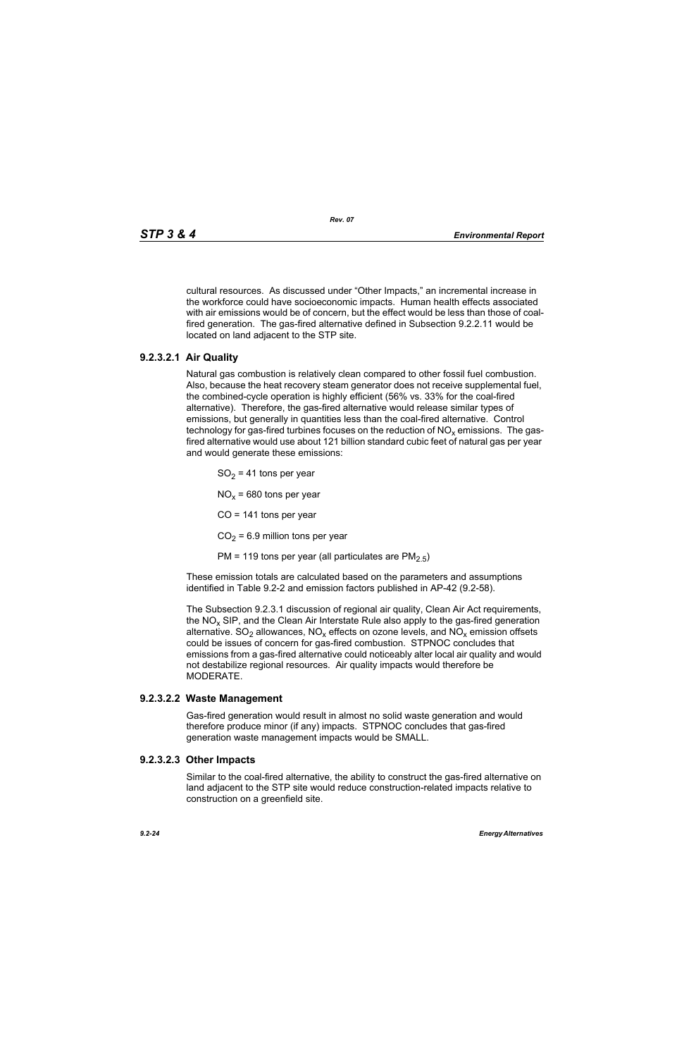cultural resources. As discussed under "Other Impacts," an incremental increase in the workforce could have socioeconomic impacts. Human health effects associated with air emissions would be of concern, but the effect would be less than those of coalfired generation. The gas-fired alternative defined in Subsection 9.2.2.11 would be located on land adjacent to the STP site.

# **9.2.3.2.1 Air Quality**

Natural gas combustion is relatively clean compared to other fossil fuel combustion. Also, because the heat recovery steam generator does not receive supplemental fuel, the combined-cycle operation is highly efficient (56% vs. 33% for the coal-fired alternative). Therefore, the gas-fired alternative would release similar types of emissions, but generally in quantities less than the coal-fired alternative. Control technology for gas-fired turbines focuses on the reduction of  $NO<sub>x</sub>$  emissions. The gasfired alternative would use about 121 billion standard cubic feet of natural gas per year and would generate these emissions:

 $SO<sub>2</sub> = 41$  tons per year

 $NO<sub>x</sub>$  = 680 tons per year

 $CO = 141$  tons per year

 $CO<sub>2</sub> = 6.9$  million tons per year

PM = 119 tons per year (all particulates are  $PM<sub>2.5</sub>$ )

These emission totals are calculated based on the parameters and assumptions identified in Table 9.2-2 and emission factors published in AP-42 (9.2-58).

The Subsection 9.2.3.1 discussion of regional air quality, Clean Air Act requirements, the  $NO<sub>x</sub>$  SIP, and the Clean Air Interstate Rule also apply to the gas-fired generation alternative.  $SO_2$  allowances,  $NO_x$  effects on ozone levels, and  $NO_x$  emission offsets could be issues of concern for gas-fired combustion. STPNOC concludes that emissions from a gas-fired alternative could noticeably alter local air quality and would not destabilize regional resources. Air quality impacts would therefore be MODERATE.

### **9.2.3.2.2 Waste Management**

Gas-fired generation would result in almost no solid waste generation and would therefore produce minor (if any) impacts. STPNOC concludes that gas-fired generation waste management impacts would be SMALL.

### **9.2.3.2.3 Other Impacts**

Similar to the coal-fired alternative, the ability to construct the gas-fired alternative on land adjacent to the STP site would reduce construction-related impacts relative to construction on a greenfield site.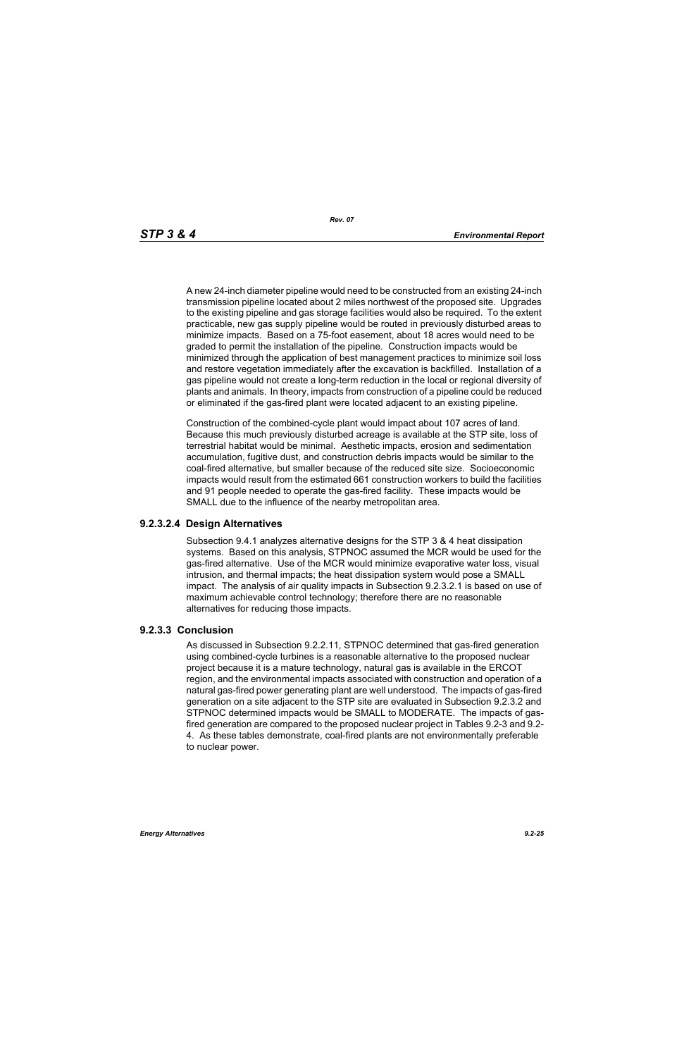A new 24-inch diameter pipeline would need to be constructed from an existing 24-inch transmission pipeline located about 2 miles northwest of the proposed site. Upgrades to the existing pipeline and gas storage facilities would also be required. To the extent practicable, new gas supply pipeline would be routed in previously disturbed areas to minimize impacts. Based on a 75-foot easement, about 18 acres would need to be graded to permit the installation of the pipeline. Construction impacts would be minimized through the application of best management practices to minimize soil loss and restore vegetation immediately after the excavation is backfilled. Installation of a gas pipeline would not create a long-term reduction in the local or regional diversity of plants and animals. In theory, impacts from construction of a pipeline could be reduced or eliminated if the gas-fired plant were located adjacent to an existing pipeline.

Construction of the combined-cycle plant would impact about 107 acres of land. Because this much previously disturbed acreage is available at the STP site, loss of terrestrial habitat would be minimal. Aesthetic impacts, erosion and sedimentation accumulation, fugitive dust, and construction debris impacts would be similar to the coal-fired alternative, but smaller because of the reduced site size. Socioeconomic impacts would result from the estimated 661 construction workers to build the facilities and 91 people needed to operate the gas-fired facility. These impacts would be SMALL due to the influence of the nearby metropolitan area.

### **9.2.3.2.4 Design Alternatives**

Subsection 9.4.1 analyzes alternative designs for the STP 3 & 4 heat dissipation systems. Based on this analysis, STPNOC assumed the MCR would be used for the gas-fired alternative. Use of the MCR would minimize evaporative water loss, visual intrusion, and thermal impacts; the heat dissipation system would pose a SMALL impact. The analysis of air quality impacts in Subsection 9.2.3.2.1 is based on use of maximum achievable control technology; therefore there are no reasonable alternatives for reducing those impacts.

### **9.2.3.3 Conclusion**

As discussed in Subsection 9.2.2.11, STPNOC determined that gas-fired generation using combined-cycle turbines is a reasonable alternative to the proposed nuclear project because it is a mature technology, natural gas is available in the ERCOT region, and the environmental impacts associated with construction and operation of a natural gas-fired power generating plant are well understood. The impacts of gas-fired generation on a site adjacent to the STP site are evaluated in Subsection 9.2.3.2 and STPNOC determined impacts would be SMALL to MODERATE. The impacts of gasfired generation are compared to the proposed nuclear project in Tables 9.2-3 and 9.2- 4. As these tables demonstrate, coal-fired plants are not environmentally preferable to nuclear power.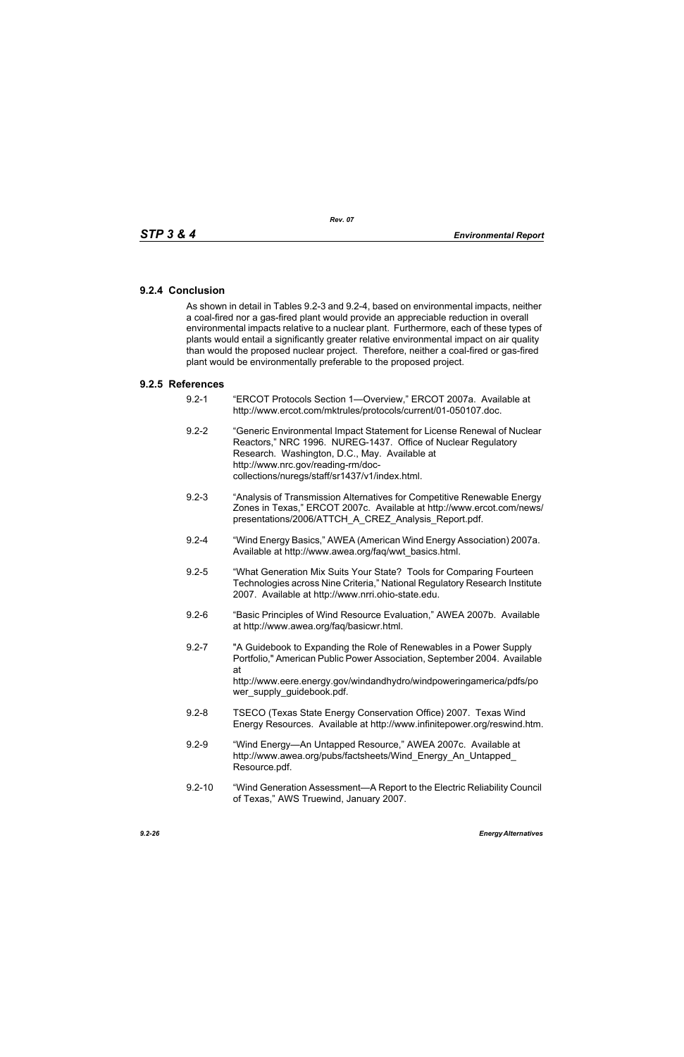## **9.2.4 Conclusion**

As shown in detail in Tables 9.2-3 and 9.2-4, based on environmental impacts, neither a coal-fired nor a gas-fired plant would provide an appreciable reduction in overall environmental impacts relative to a nuclear plant. Furthermore, each of these types of plants would entail a significantly greater relative environmental impact on air quality than would the proposed nuclear project. Therefore, neither a coal-fired or gas-fired plant would be environmentally preferable to the proposed project.

### **9.2.5 References**

- 9.2-1 "ERCOT Protocols Section 1—Overview," ERCOT 2007a. Available at http://www.ercot.com/mktrules/protocols/current/01-050107.doc.
- 9.2-2 "Generic Environmental Impact Statement for License Renewal of Nuclear Reactors," NRC 1996. NUREG-1437. Office of Nuclear Regulatory Research. Washington, D.C., May. Available at http://www.nrc.gov/reading-rm/doccollections/nuregs/staff/sr1437/v1/index.html.
- 9.2-3 "Analysis of Transmission Alternatives for Competitive Renewable Energy Zones in Texas," ERCOT 2007c. Available at http://www.ercot.com/news/ presentations/2006/ATTCH\_A\_CREZ\_Analysis\_Report.pdf.
- 9.2-4 "Wind Energy Basics," AWEA (American Wind Energy Association) 2007a. Available at http://www.awea.org/faq/wwt\_basics.html.
- 9.2-5 "What Generation Mix Suits Your State? Tools for Comparing Fourteen Technologies across Nine Criteria," National Regulatory Research Institute 2007. Available at http://www.nrri.ohio-state.edu.
- 9.2-6 "Basic Principles of Wind Resource Evaluation," AWEA 2007b. Available at http://www.awea.org/faq/basicwr.html.
- 9.2-7 "A Guidebook to Expanding the Role of Renewables in a Power Supply Portfolio," American Public Power Association, September 2004. Available at http://www.eere.energy.gov/windandhydro/windpoweringamerica/pdfs/po wer\_supply\_guidebook.pdf.
- 9.2-8 TSECO (Texas State Energy Conservation Office) 2007. Texas Wind Energy Resources. Available at http://www.infinitepower.org/reswind.htm.
- 9.2-9 "Wind Energy—An Untapped Resource," AWEA 2007c. Available at http://www.awea.org/pubs/factsheets/Wind\_Energy\_An\_Untapped\_ Resource.pdf.
- 9.2-10 "Wind Generation Assessment—A Report to the Electric Reliability Council of Texas," AWS Truewind, January 2007.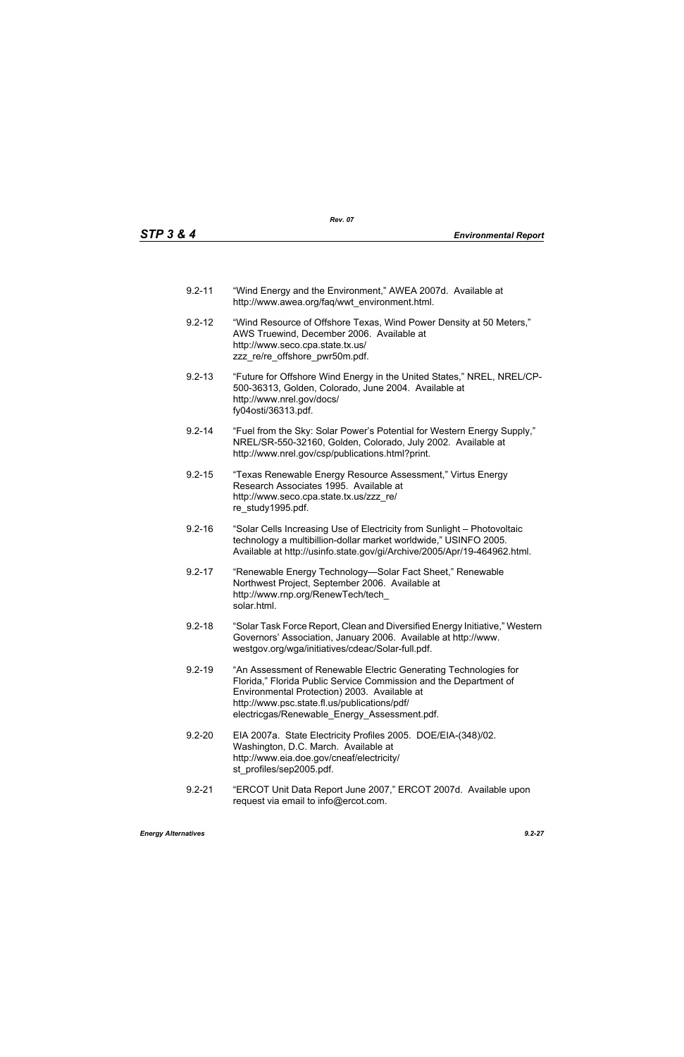- 9.2-11 "Wind Energy and the Environment," AWEA 2007d. Available at http://www.awea.org/faq/wwt\_environment.html.
- 9.2-12 "Wind Resource of Offshore Texas, Wind Power Density at 50 Meters," AWS Truewind, December 2006. Available at http://www.seco.cpa.state.tx.us/ zzz\_re/re\_offshore\_pwr50m.pdf.
- 9.2-13 "Future for Offshore Wind Energy in the United States," NREL, NREL/CP-500-36313, Golden, Colorado, June 2004. Available at http://www.nrel.gov/docs/ fy04osti/36313.pdf.
- 9.2-14 "Fuel from the Sky: Solar Power's Potential for Western Energy Supply," NREL/SR-550-32160, Golden, Colorado, July 2002. Available at http://www.nrel.gov/csp/publications.html?print.
- 9.2-15 "Texas Renewable Energy Resource Assessment," Virtus Energy Research Associates 1995. Available at http://www.seco.cpa.state.tx.us/zzz\_re/ re\_study1995.pdf.
- 9.2-16 "Solar Cells Increasing Use of Electricity from Sunlight Photovoltaic technology a multibillion-dollar market worldwide," USINFO 2005. Available at http://usinfo.state.gov/gi/Archive/2005/Apr/19-464962.html.
- 9.2-17 "Renewable Energy Technology—Solar Fact Sheet," Renewable Northwest Project, September 2006. Available at http://www.rnp.org/RenewTech/tech\_ solar.html.
- 9.2-18 "Solar Task Force Report, Clean and Diversified Energy Initiative," Western Governors' Association, January 2006. Available at http://www. westgov.org/wga/initiatives/cdeac/Solar-full.pdf.
- 9.2-19 "An Assessment of Renewable Electric Generating Technologies for Florida," Florida Public Service Commission and the Department of Environmental Protection) 2003. Available at http://www.psc.state.fl.us/publications/pdf/ electricgas/Renewable\_Energy\_Assessment.pdf.
- 9.2-20 EIA 2007a. State Electricity Profiles 2005. DOE/EIA-(348)/02. Washington, D.C. March. Available at http://www.eia.doe.gov/cneaf/electricity/ st\_profiles/sep2005.pdf.
- 9.2-21 "ERCOT Unit Data Report June 2007," ERCOT 2007d. Available upon request via email to info@ercot.com.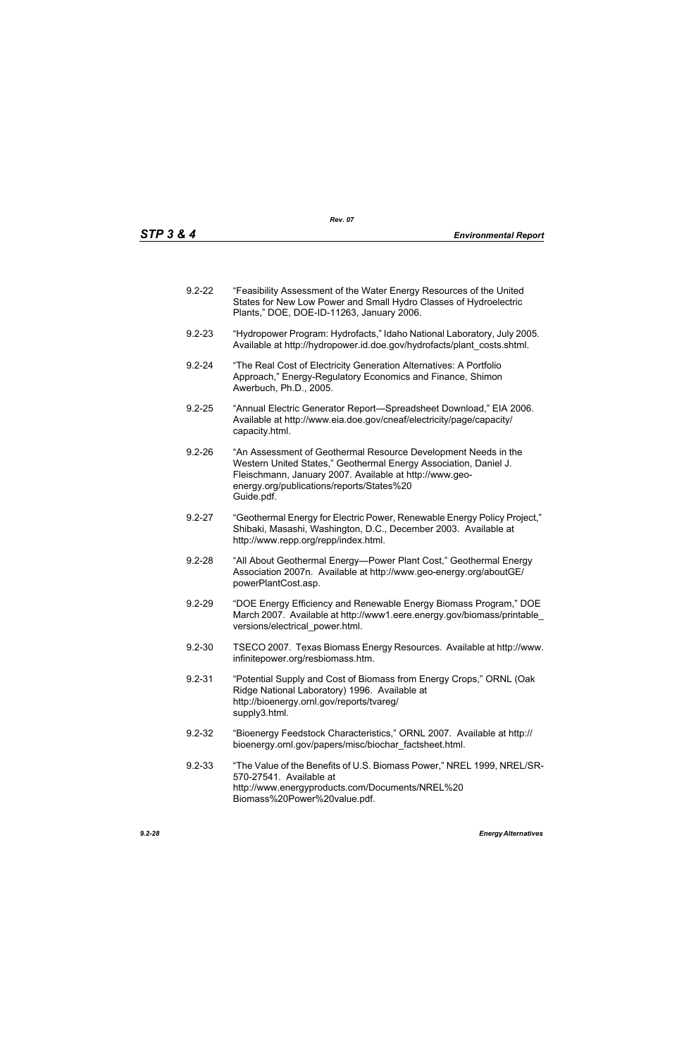| $9.2 - 22$ | "Feasibility Assessment of the Water Energy Resources of the United |
|------------|---------------------------------------------------------------------|
|            | States for New Low Power and Small Hydro Classes of Hydroelectric   |
|            | Plants," DOE, DOE-ID-11263, January 2006.                           |

- 9.2-23 "Hydropower Program: Hydrofacts," Idaho National Laboratory, July 2005. Available at http://hydropower.id.doe.gov/hydrofacts/plant\_costs.shtml.
- 9.2-24 "The Real Cost of Electricity Generation Alternatives: A Portfolio Approach," Energy-Regulatory Economics and Finance, Shimon Awerbuch, Ph.D., 2005.
- 9.2-25 "Annual Electric Generator Report—Spreadsheet Download," EIA 2006. Available at http://www.eia.doe.gov/cneaf/electricity/page/capacity/ capacity.html.
- 9.2-26 "An Assessment of Geothermal Resource Development Needs in the Western United States," Geothermal Energy Association, Daniel J. Fleischmann, January 2007. Available at http://www.geoenergy.org/publications/reports/States%20 Guide.pdf.
- 9.2-27 "Geothermal Energy for Electric Power, Renewable Energy Policy Project," Shibaki, Masashi, Washington, D.C., December 2003. Available at http://www.repp.org/repp/index.html.
- 9.2-28 "All About Geothermal Energy—Power Plant Cost," Geothermal Energy Association 2007n. Available at http://www.geo-energy.org/aboutGE/ powerPlantCost.asp.
- 9.2-29 "DOE Energy Efficiency and Renewable Energy Biomass Program," DOE March 2007. Available at http://www1.eere.energy.gov/biomass/printable\_ versions/electrical\_power.html.
- 9.2-30 TSECO 2007. Texas Biomass Energy Resources. Available at http://www. infinitepower.org/resbiomass.htm.
- 9.2-31 "Potential Supply and Cost of Biomass from Energy Crops," ORNL (Oak Ridge National Laboratory) 1996. Available at http://bioenergy.ornl.gov/reports/tvareg/ supply3.html.
- 9.2-32 "Bioenergy Feedstock Characteristics," ORNL 2007. Available at http:// bioenergy.ornl.gov/papers/misc/biochar\_factsheet.html.
- 9.2-33 "The Value of the Benefits of U.S. Biomass Power," NREL 1999, NREL/SR-570-27541. Available at http://www.energyproducts.com/Documents/NREL%20 Biomass%20Power%20value.pdf.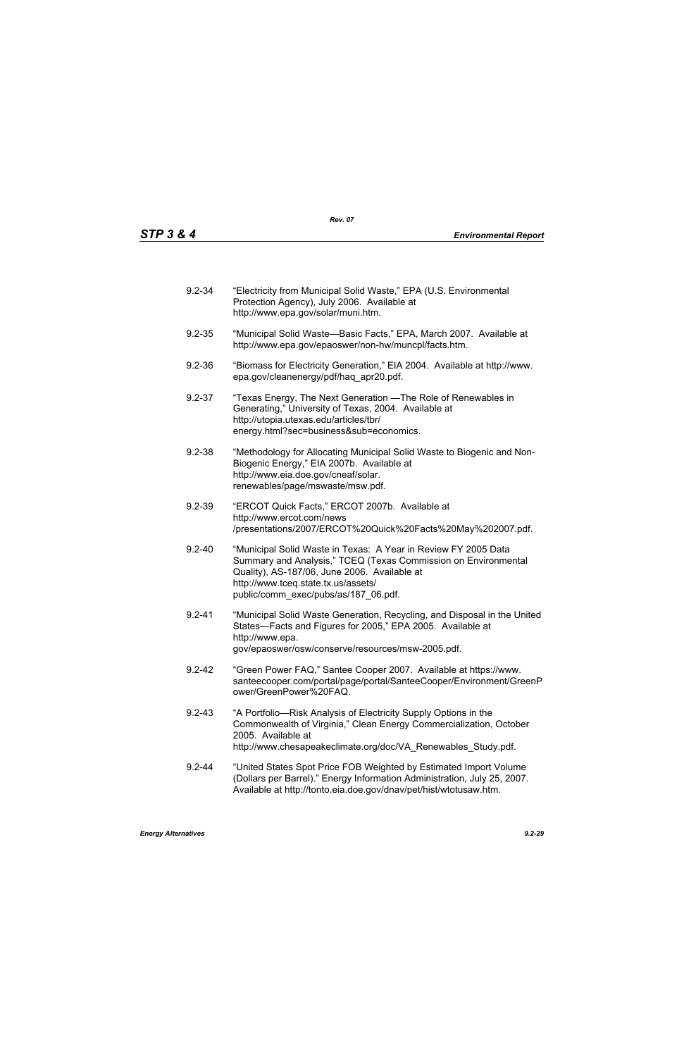| $9.2 - 34$ | "Electricity from Municipal Solid Waste," EPA (U.S. Environmental<br>Protection Agency), July 2006. Available at<br>http://www.epa.gov/solar/muni.htm.                                                                                                          |
|------------|-----------------------------------------------------------------------------------------------------------------------------------------------------------------------------------------------------------------------------------------------------------------|
| $9.2 - 35$ | "Municipal Solid Waste-Basic Facts," EPA, March 2007. Available at<br>http://www.epa.gov/epaoswer/non-hw/muncpl/facts.htm.                                                                                                                                      |
| $9.2 - 36$ | "Biomass for Electricity Generation," EIA 2004. Available at http://www.<br>epa.gov/cleanenergy/pdf/haq_apr20.pdf.                                                                                                                                              |
| $9.2 - 37$ | "Texas Energy, The Next Generation — The Role of Renewables in<br>Generating," University of Texas, 2004. Available at<br>http://utopia.utexas.edu/articles/tbr/<br>energy.html?sec=business⊂=economics.                                                        |
| $9.2 - 38$ | "Methodology for Allocating Municipal Solid Waste to Biogenic and Non-<br>Biogenic Energy," EIA 2007b. Available at<br>http://www.eia.doe.gov/cneaf/solar.<br>renewables/page/mswaste/msw.pdf.                                                                  |
| $9.2 - 39$ | "ERCOT Quick Facts," ERCOT 2007b. Available at<br>http://www.ercot.com/news<br>/presentations/2007/ERCOT%20Quick%20Facts%20May%202007.pdf.                                                                                                                      |
| $9.2 - 40$ | "Municipal Solid Waste in Texas: A Year in Review FY 2005 Data<br>Summary and Analysis," TCEQ (Texas Commission on Environmental<br>Quality), AS-187/06, June 2006. Available at<br>http://www.tceq.state.tx.us/assets/<br>public/comm_exec/pubs/as/187_06.pdf. |
| $9.2 - 41$ | "Municipal Solid Waste Generation, Recycling, and Disposal in the United<br>States-Facts and Figures for 2005," EPA 2005. Available at<br>http://www.epa.<br>gov/epaoswer/osw/conserve/resources/msw-2005.pdf.                                                  |
| $9.2 - 42$ | "Green Power FAQ," Santee Cooper 2007. Available at https://www.<br>santeecooper.com/portal/page/portal/SanteeCooper/Environment/GreenP<br>ower/GreenPower%20FAQ.                                                                                               |
| $9.2 - 43$ | "A Portfolio—Risk Analysis of Electricity Supply Options in the<br>Commonwealth of Virginia," Clean Energy Commercialization, October<br>2005. Available at<br>http://www.chesapeakeclimate.org/doc/VA_Renewables_Study.pdf.                                    |
| $9.2 - 44$ | "United States Spot Price FOB Weighted by Estimated Import Volume<br>(Dollars per Barrel)." Energy Information Administration, July 25, 2007.<br>Available at http://tonto.eia.doe.gov/dnav/pet/hist/wtotusaw.htm.                                              |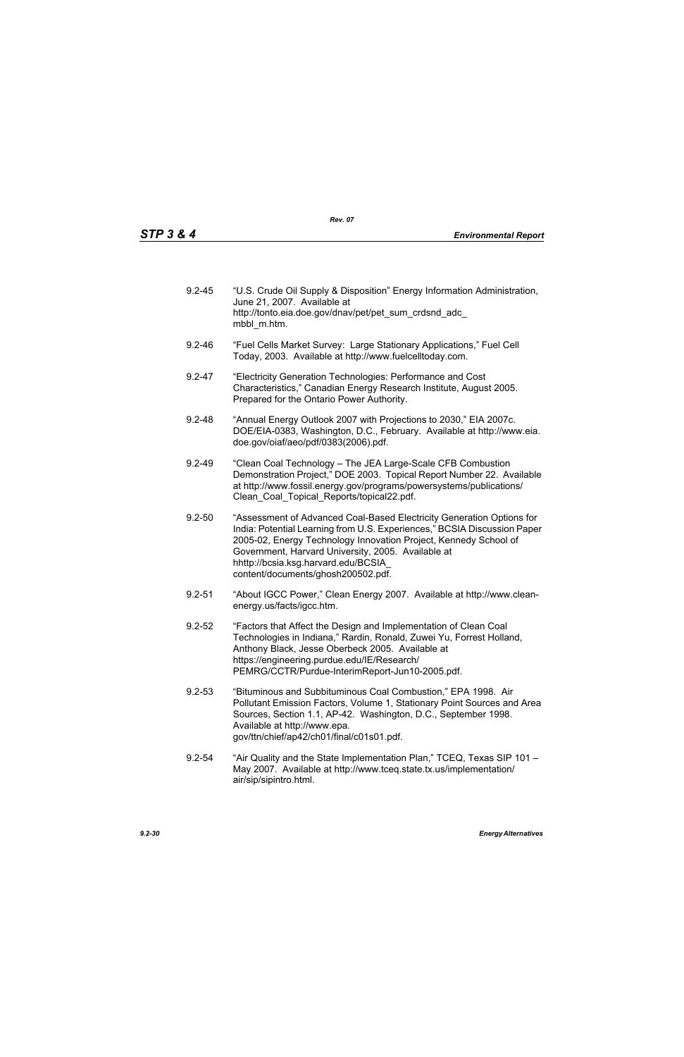| $9.2 - 45$ | "U.S. Crude Oil Supply & Disposition" Energy Information Administration,<br>June 21, 2007. Available at<br>http://tonto.eia.doe.gov/dnav/pet/pet sum crdsnd adc<br>mbbl m.htm. |
|------------|--------------------------------------------------------------------------------------------------------------------------------------------------------------------------------|
|            |                                                                                                                                                                                |

- 9.2-46 "Fuel Cells Market Survey: Large Stationary Applications," Fuel Cell Today, 2003. Available at http://www.fuelcelltoday.com.
- 9.2-47 "Electricity Generation Technologies: Performance and Cost Characteristics," Canadian Energy Research Institute, August 2005. Prepared for the Ontario Power Authority.
- 9.2-48 "Annual Energy Outlook 2007 with Projections to 2030," EIA 2007c. DOE/EIA-0383, Washington, D.C., February. Available at http://www.eia. doe.gov/oiaf/aeo/pdf/0383(2006).pdf.
- 9.2-49 "Clean Coal Technology The JEA Large-Scale CFB Combustion Demonstration Project," DOE 2003. Topical Report Number 22. Available at http://www.fossil.energy.gov/programs/powersystems/publications/ Clean\_Coal\_Topical\_Reports/topical22.pdf.
- 9.2-50 "Assessment of Advanced Coal-Based Electricity Generation Options for India: Potential Learning from U.S. Experiences," BCSIA Discussion Paper 2005-02, Energy Technology Innovation Project, Kennedy School of Government, Harvard University, 2005. Available at hhttp://bcsia.ksg.harvard.edu/BCSIA\_ content/documents/ghosh200502.pdf.
- 9.2-51 "About IGCC Power," Clean Energy 2007. Available at http://www.cleanenergy.us/facts/igcc.htm.
- 9.2-52 "Factors that Affect the Design and Implementation of Clean Coal Technologies in Indiana," Rardin, Ronald, Zuwei Yu, Forrest Holland, Anthony Black, Jesse Oberbeck 2005. Available at https://engineering.purdue.edu/IE/Research/ PEMRG/CCTR/Purdue-InterimReport-Jun10-2005.pdf.
- 9.2-53 "Bituminous and Subbituminous Coal Combustion," EPA 1998. Air Pollutant Emission Factors, Volume 1, Stationary Point Sources and Area Sources, Section 1.1, AP-42. Washington, D.C., September 1998. Available at http://www.epa. gov/ttn/chief/ap42/ch01/final/c01s01.pdf.
- 9.2-54 "Air Quality and the State Implementation Plan," TCEQ, Texas SIP 101 May 2007. Available at http://www.tceq.state.tx.us/implementation/ air/sip/sipintro.html.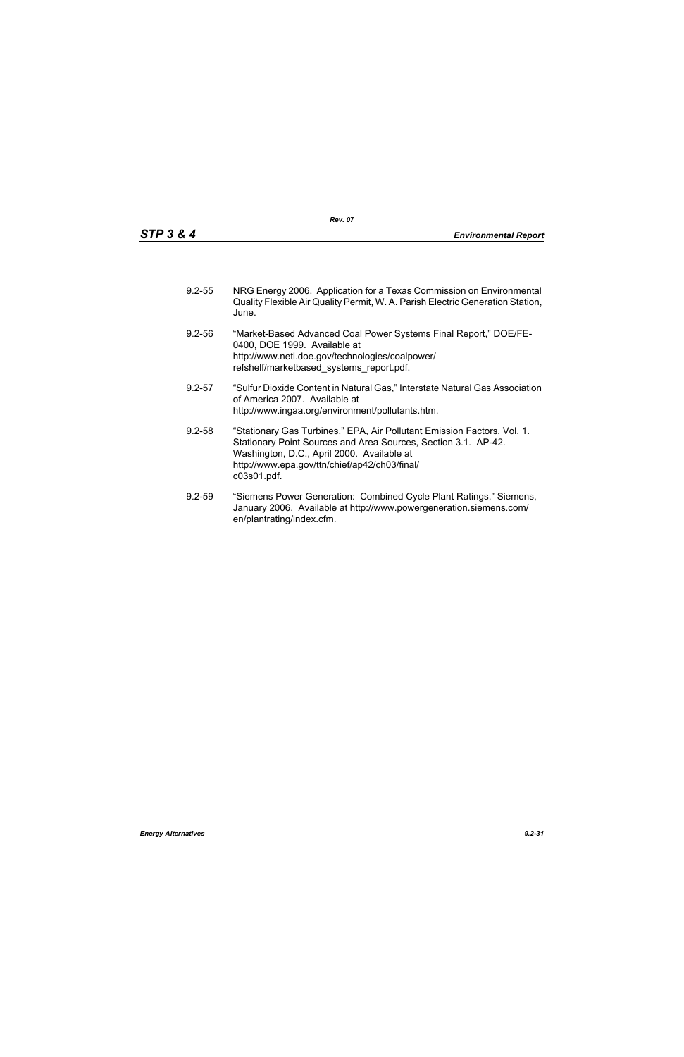| $9.2 - 55$ | NRG Energy 2006. Application for a Texas Commission on Environmental           |
|------------|--------------------------------------------------------------------------------|
|            | Quality Flexible Air Quality Permit, W. A. Parish Electric Generation Station, |
|            | June.                                                                          |

- 9.2-56 "Market-Based Advanced Coal Power Systems Final Report," DOE/FE-0400, DOE 1999. Available at http://www.netl.doe.gov/technologies/coalpower/ refshelf/marketbased\_systems\_report.pdf.
- 9.2-57 "Sulfur Dioxide Content in Natural Gas," Interstate Natural Gas Association of America 2007. Available at http://www.ingaa.org/environment/pollutants.htm.
- 9.2-58 "Stationary Gas Turbines," EPA, Air Pollutant Emission Factors, Vol. 1. Stationary Point Sources and Area Sources, Section 3.1. AP-42. Washington, D.C., April 2000. Available at http://www.epa.gov/ttn/chief/ap42/ch03/final/ c03s01.pdf.
- 9.2-59 "Siemens Power Generation: Combined Cycle Plant Ratings," Siemens, January 2006. Available at http://www.powergeneration.siemens.com/ en/plantrating/index.cfm.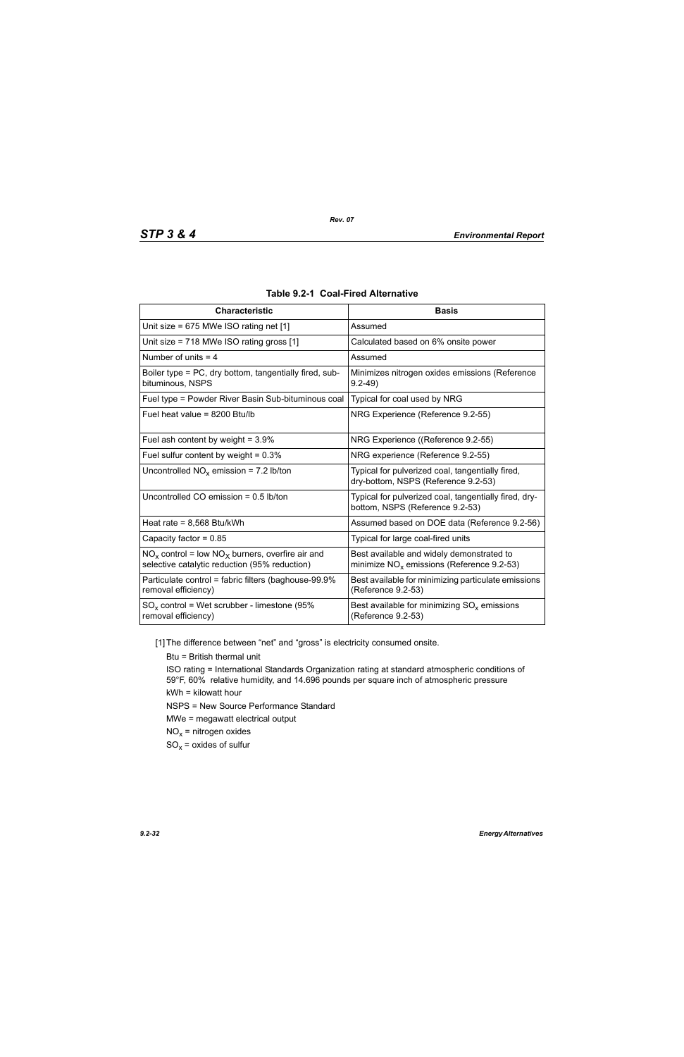| <b>Characteristic</b>                                                                                  | <b>Basis</b>                                                                              |
|--------------------------------------------------------------------------------------------------------|-------------------------------------------------------------------------------------------|
| Unit size = $675$ MWe ISO rating net [1]                                                               | Assumed                                                                                   |
| Unit size = 718 MWe ISO rating gross [1]                                                               | Calculated based on 6% onsite power                                                       |
| Number of units $=$ 4                                                                                  | Assumed                                                                                   |
| Boiler type = PC, dry bottom, tangentially fired, sub-<br>bituminous, NSPS                             | Minimizes nitrogen oxides emissions (Reference<br>$9.2 - 49$                              |
| Fuel type = Powder River Basin Sub-bituminous coal                                                     | Typical for coal used by NRG                                                              |
| Fuel heat value = 8200 Btu/lb                                                                          | NRG Experience (Reference 9.2-55)                                                         |
| Fuel ash content by weight = $3.9\%$                                                                   | NRG Experience ((Reference 9.2-55)                                                        |
| Fuel sulfur content by weight = $0.3\%$                                                                | NRG experience (Reference 9.2-55)                                                         |
| Uncontrolled $NO_x$ emission = 7.2 lb/ton                                                              | Typical for pulverized coal, tangentially fired,<br>dry-bottom, NSPS (Reference 9.2-53)   |
| Uncontrolled CO emission $= 0.5$ lb/ton                                                                | Typical for pulverized coal, tangentially fired, dry-<br>bottom, NSPS (Reference 9.2-53)  |
| Heat rate = $8,568$ Btu/kWh                                                                            | Assumed based on DOE data (Reference 9.2-56)                                              |
| Capacity factor = $0.85$                                                                               | Typical for large coal-fired units                                                        |
| $NO_x$ control = low $NO_x$ burners, overfire air and<br>selective catalytic reduction (95% reduction) | Best available and widely demonstrated to<br>minimize $NO_x$ emissions (Reference 9.2-53) |
| Particulate control = fabric filters (baghouse-99.9%<br>removal efficiency)                            | Best available for minimizing particulate emissions<br>(Reference 9.2-53)                 |
| $SO_x$ control = Wet scrubber - limestone (95%<br>removal efficiency)                                  | Best available for minimizing $SO_{x}$ emissions<br>(Reference 9.2-53)                    |

|  |  |  | <b>Table 9.2-1 Coal-Fired Alternative</b> |
|--|--|--|-------------------------------------------|
|--|--|--|-------------------------------------------|

[1] The difference between "net" and "gross" is electricity consumed onsite.

Btu = British thermal unit

ISO rating = International Standards Organization rating at standard atmospheric conditions of 59°F, 60% relative humidity, and 14.696 pounds per square inch of atmospheric pressure kWh = kilowatt hour

NSPS = New Source Performance Standard

MWe = megawatt electrical output

 $NO<sub>x</sub>$  = nitrogen oxides

 $SO_x =$  oxides of sulfur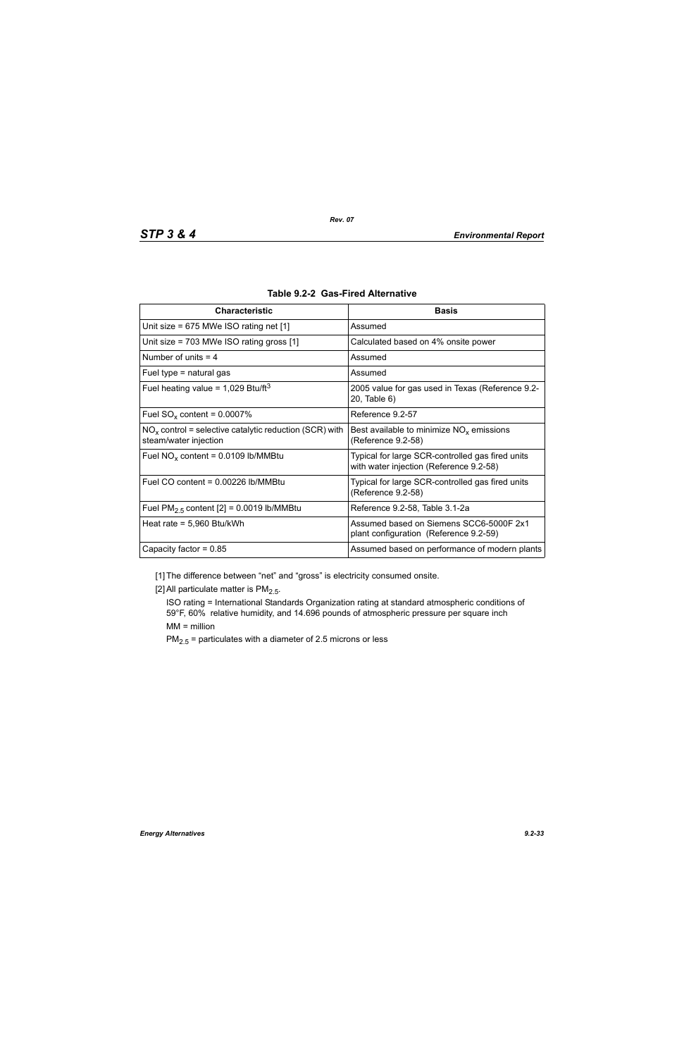| <b>Characteristic</b>                                                             | <b>Basis</b>                                                                                |
|-----------------------------------------------------------------------------------|---------------------------------------------------------------------------------------------|
| Unit size = $675$ MWe ISO rating net [1]                                          | Assumed                                                                                     |
| Unit size = $703$ MWe ISO rating gross [1]                                        | Calculated based on 4% onsite power                                                         |
| Number of units $=$ 4                                                             | Assumed                                                                                     |
| Fuel type $=$ natural gas                                                         | Assumed                                                                                     |
| Fuel heating value = $1,029$ Btu/ft <sup>3</sup>                                  | 2005 value for gas used in Texas (Reference 9.2-<br>20, Table 6)                            |
| Fuel $SO_x$ content = 0.0007%                                                     | Reference 9.2-57                                                                            |
| $NOx$ control = selective catalytic reduction (SCR) with<br>steam/water injection | Best available to minimize $NOx$ emissions<br>(Reference 9.2-58)                            |
| Fuel $NO_x$ content = 0.0109 lb/MMBtu                                             | Typical for large SCR-controlled gas fired units<br>with water injection (Reference 9.2-58) |
| Fuel CO content = $0.00226$ lb/MMBtu                                              | Typical for large SCR-controlled gas fired units<br>(Reference 9.2-58)                      |
| Fuel $PM2.5$ content [2] = 0.0019 lb/MMBtu                                        | Reference 9.2-58, Table 3.1-2a                                                              |
| Heat rate = $5,960$ Btu/kWh                                                       | Assumed based on Siemens SCC6-5000F 2x1<br>plant configuration (Reference 9.2-59)           |
| Capacity factor = $0.85$                                                          | Assumed based on performance of modern plants                                               |

|  |  | Table 9.2-2 Gas-Fired Alternative |
|--|--|-----------------------------------|
|--|--|-----------------------------------|

[1] The difference between "net" and "gross" is electricity consumed onsite.

[2] All particulate matter is  $PM<sub>2.5</sub>$ .

ISO rating = International Standards Organization rating at standard atmospheric conditions of 59°F, 60% relative humidity, and 14.696 pounds of atmospheric pressure per square inch MM = million

 $PM_{2.5}$  = particulates with a diameter of 2.5 microns or less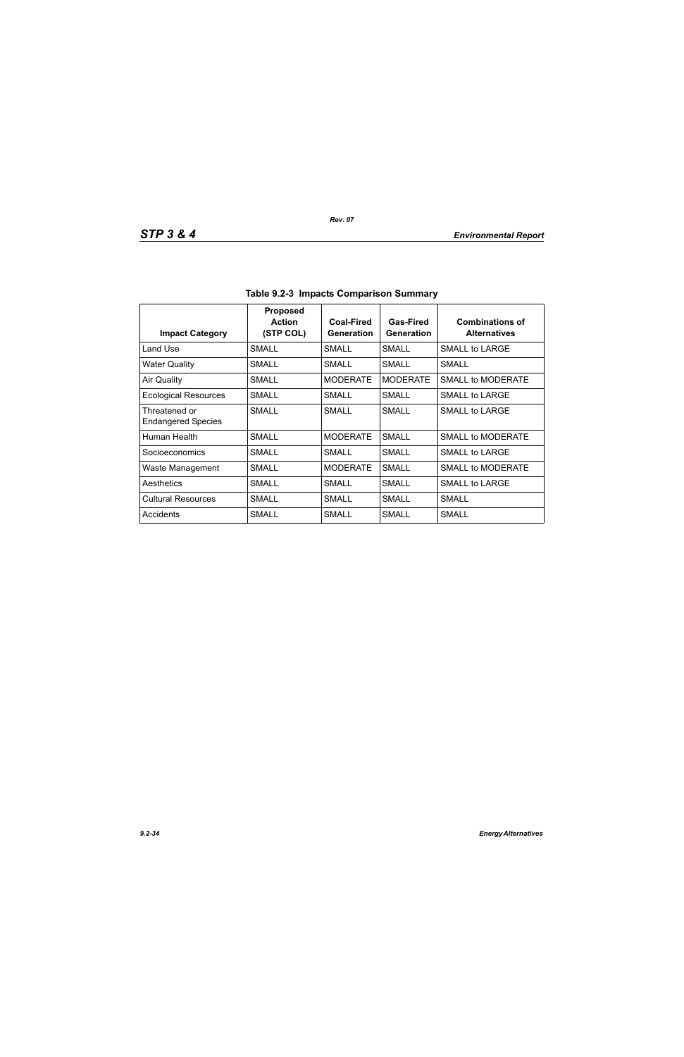| <b>Impact Category</b>                     | <b>Proposed</b><br><b>Action</b><br>(STP COL) | Coal-Fired<br>Generation | Gas-Fired<br>Generation | <b>Combinations of</b><br><b>Alternatives</b> |
|--------------------------------------------|-----------------------------------------------|--------------------------|-------------------------|-----------------------------------------------|
| Land Use                                   | SMALL                                         | SMALL                    | SMALL                   | SMALL to LARGE                                |
| <b>Water Quality</b>                       | <b>SMALL</b>                                  | <b>SMALL</b>             | SMALL                   | <b>SMALL</b>                                  |
| <b>Air Quality</b>                         | SMALL                                         | <b>MODERATE</b>          | <b>MODERATE</b>         | <b>SMALL to MODERATE</b>                      |
| <b>Ecological Resources</b>                | SMALL                                         | SMALL                    | SMALL                   | SMALL to LARGE                                |
| Threatened or<br><b>Endangered Species</b> | <b>SMALL</b>                                  | SMALL                    | SMALL                   | SMALL to LARGE                                |
| Human Health                               | SMALL                                         | <b>MODERATE</b>          | <b>SMALL</b>            | SMALL to MODERATE                             |
| Socioeconomics                             | SMALL                                         | <b>SMALL</b>             | SMALL                   | SMALL to LARGE                                |
| Waste Management                           | <b>SMALL</b>                                  | <b>MODERATE</b>          | <b>SMALL</b>            | SMALL to MODERATE                             |
| Aesthetics                                 | SMALL                                         | SMALL                    | SMALL                   | SMALL to LARGE                                |
| <b>Cultural Resources</b>                  | SMALL                                         | <b>SMALL</b>             | SMALL                   | <b>SMALL</b>                                  |
| Accidents                                  | <b>SMALL</b>                                  | <b>SMALL</b>             | SMALL                   | <b>SMALL</b>                                  |

**Table 9.2-3 Impacts Comparison Summary**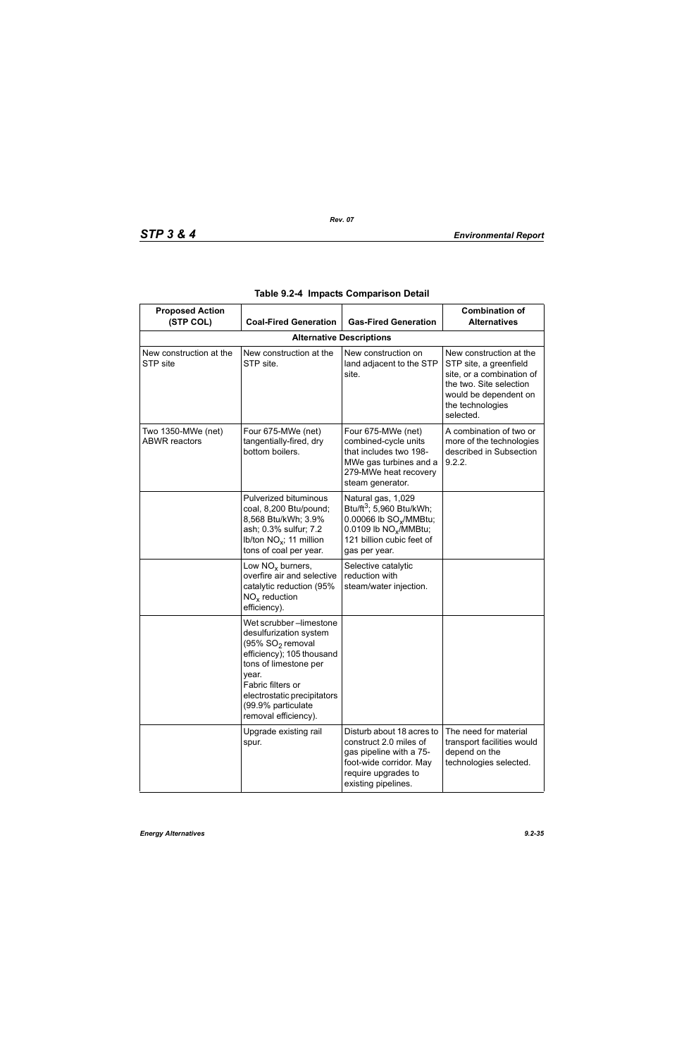| <b>Proposed Action</b><br>(STP COL)        | <b>Coal-Fired Generation</b>                                                                                                                                                                                                                      | <b>Gas-Fired Generation</b>                                                                                                                                                         | <b>Combination of</b><br><b>Alternatives</b>                                                                                                                        |
|--------------------------------------------|---------------------------------------------------------------------------------------------------------------------------------------------------------------------------------------------------------------------------------------------------|-------------------------------------------------------------------------------------------------------------------------------------------------------------------------------------|---------------------------------------------------------------------------------------------------------------------------------------------------------------------|
|                                            |                                                                                                                                                                                                                                                   |                                                                                                                                                                                     |                                                                                                                                                                     |
| New construction at the<br>STP site        | New construction at the<br>STP site.                                                                                                                                                                                                              | New construction on<br>land adjacent to the STP<br>site.                                                                                                                            | New construction at the<br>STP site, a greenfield<br>site, or a combination of<br>the two. Site selection<br>would be dependent on<br>the technologies<br>selected. |
| Two 1350-MWe (net)<br><b>ABWR</b> reactors | Four 675-MWe (net)<br>tangentially-fired, dry<br>bottom boilers.                                                                                                                                                                                  | Four 675-MWe (net)<br>combined-cycle units<br>that includes two 198-<br>MWe gas turbines and a<br>279-MWe heat recovery<br>steam generator.                                         | A combination of two or<br>more of the technologies<br>described in Subsection<br>9.2.2.                                                                            |
|                                            | Pulverized bituminous<br>coal, 8,200 Btu/pound;<br>8,568 Btu/kWh; 3.9%<br>ash; 0.3% sulfur; 7.2<br>Ib/ton $NO_x$ ; 11 million<br>tons of coal per year.                                                                                           | Natural gas, 1,029<br>Btu/ft <sup>3</sup> ; 5,960 Btu/kWh;<br>0.00066 lb SO <sub>v</sub> /MMBtu;<br>0.0109 lb NO <sub>x</sub> /MMBtu;<br>121 billion cubic feet of<br>gas per year. |                                                                                                                                                                     |
|                                            | Low $NOx$ burners,<br>overfire air and selective<br>catalytic reduction (95%<br>$NOx$ reduction<br>efficiency).                                                                                                                                   | Selective catalytic<br>reduction with<br>steam/water injection.                                                                                                                     |                                                                                                                                                                     |
|                                            | Wet scrubber-limestone<br>desulfurization system<br>(95% SO <sub>2</sub> removal<br>efficiency); 105 thousand<br>tons of limestone per<br>year.<br>Fabric filters or<br>electrostatic precipitators<br>(99.9% particulate<br>removal efficiency). |                                                                                                                                                                                     |                                                                                                                                                                     |
|                                            | Upgrade existing rail<br>spur.                                                                                                                                                                                                                    | Disturb about 18 acres to<br>construct 2.0 miles of<br>gas pipeline with a 75-<br>foot-wide corridor. May<br>require upgrades to<br>existing pipelines.                             | The need for material<br>transport facilities would<br>depend on the<br>technologies selected.                                                                      |

|  |  |  | Table 9.2-4 Impacts Comparison Detail |  |
|--|--|--|---------------------------------------|--|
|--|--|--|---------------------------------------|--|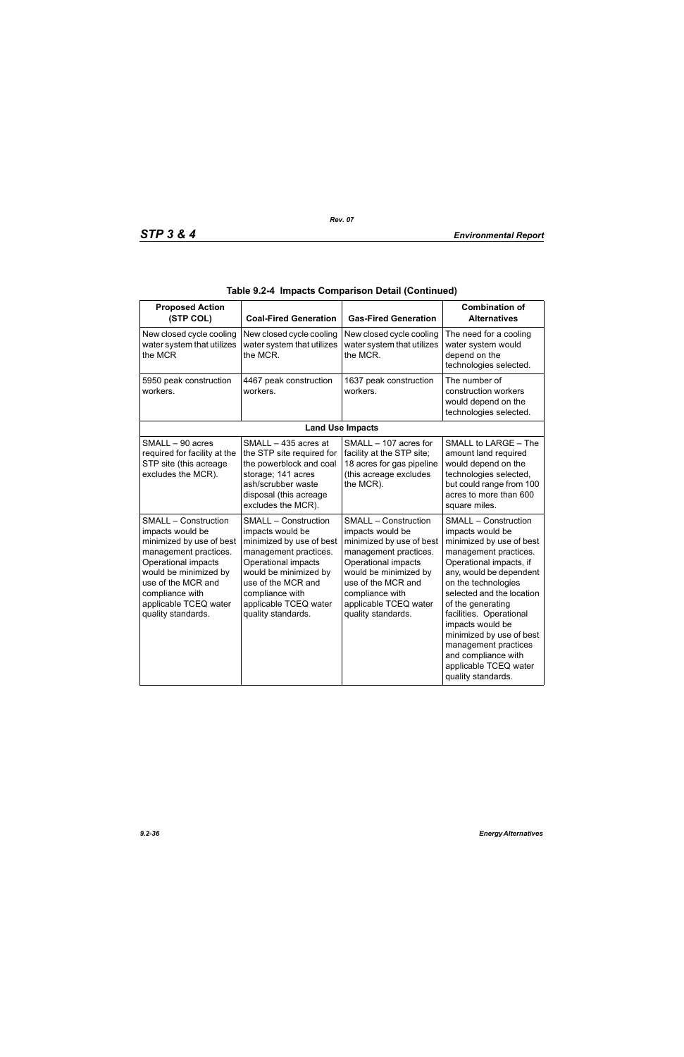| <b>Proposed Action</b><br>(STP COL)                                                                                                                                                                                                          | <b>Coal-Fired Generation</b>                                                                                                                                                                                                                 | <b>Gas-Fired Generation</b>                                                                                                                                                                                                                  | <b>Combination of</b><br><b>Alternatives</b>                                                                                                                                                                                                                                                                                                                                                                 |
|----------------------------------------------------------------------------------------------------------------------------------------------------------------------------------------------------------------------------------------------|----------------------------------------------------------------------------------------------------------------------------------------------------------------------------------------------------------------------------------------------|----------------------------------------------------------------------------------------------------------------------------------------------------------------------------------------------------------------------------------------------|--------------------------------------------------------------------------------------------------------------------------------------------------------------------------------------------------------------------------------------------------------------------------------------------------------------------------------------------------------------------------------------------------------------|
| New closed cycle cooling<br>water system that utilizes<br>the MCR                                                                                                                                                                            | New closed cycle cooling<br>water system that utilizes<br>the MCR.                                                                                                                                                                           | New closed cycle cooling<br>water system that utilizes<br>the MCR.                                                                                                                                                                           | The need for a cooling<br>water system would<br>depend on the<br>technologies selected.                                                                                                                                                                                                                                                                                                                      |
| 5950 peak construction<br>workers.                                                                                                                                                                                                           | 4467 peak construction<br>workers.                                                                                                                                                                                                           | 1637 peak construction<br>workers.                                                                                                                                                                                                           | The number of<br>construction workers<br>would depend on the<br>technologies selected.                                                                                                                                                                                                                                                                                                                       |
|                                                                                                                                                                                                                                              |                                                                                                                                                                                                                                              | <b>Land Use Impacts</b>                                                                                                                                                                                                                      |                                                                                                                                                                                                                                                                                                                                                                                                              |
| SMALL - 90 acres<br>required for facility at the<br>STP site (this acreage<br>excludes the MCR).                                                                                                                                             | SMALL - 435 acres at<br>the STP site required for<br>the powerblock and coal<br>storage; 141 acres<br>ash/scrubber waste<br>disposal (this acreage<br>excludes the MCR).                                                                     | SMALL - 107 acres for<br>facility at the STP site;<br>18 acres for gas pipeline<br>(this acreage excludes<br>the MCR).                                                                                                                       | SMALL to LARGE - The<br>amount land required<br>would depend on the<br>technologies selected,<br>but could range from 100<br>acres to more than 600<br>square miles.                                                                                                                                                                                                                                         |
| <b>SMALL - Construction</b><br>impacts would be<br>minimized by use of best<br>management practices.<br>Operational impacts<br>would be minimized by<br>use of the MCR and<br>compliance with<br>applicable TCEQ water<br>quality standards. | <b>SMALL - Construction</b><br>impacts would be<br>minimized by use of best<br>management practices.<br>Operational impacts<br>would be minimized by<br>use of the MCR and<br>compliance with<br>applicable TCEQ water<br>quality standards. | <b>SMALL - Construction</b><br>impacts would be<br>minimized by use of best<br>management practices.<br>Operational impacts<br>would be minimized by<br>use of the MCR and<br>compliance with<br>applicable TCEQ water<br>quality standards. | <b>SMALL - Construction</b><br>impacts would be<br>minimized by use of best<br>management practices.<br>Operational impacts, if<br>any, would be dependent<br>on the technologies<br>selected and the location<br>of the generating<br>facilities. Operational<br>impacts would be<br>minimized by use of best<br>management practices<br>and compliance with<br>applicable TCEQ water<br>quality standards. |

|  |  | Table 9.2-4 Impacts Comparison Detail (Continued) |  |  |
|--|--|---------------------------------------------------|--|--|
|--|--|---------------------------------------------------|--|--|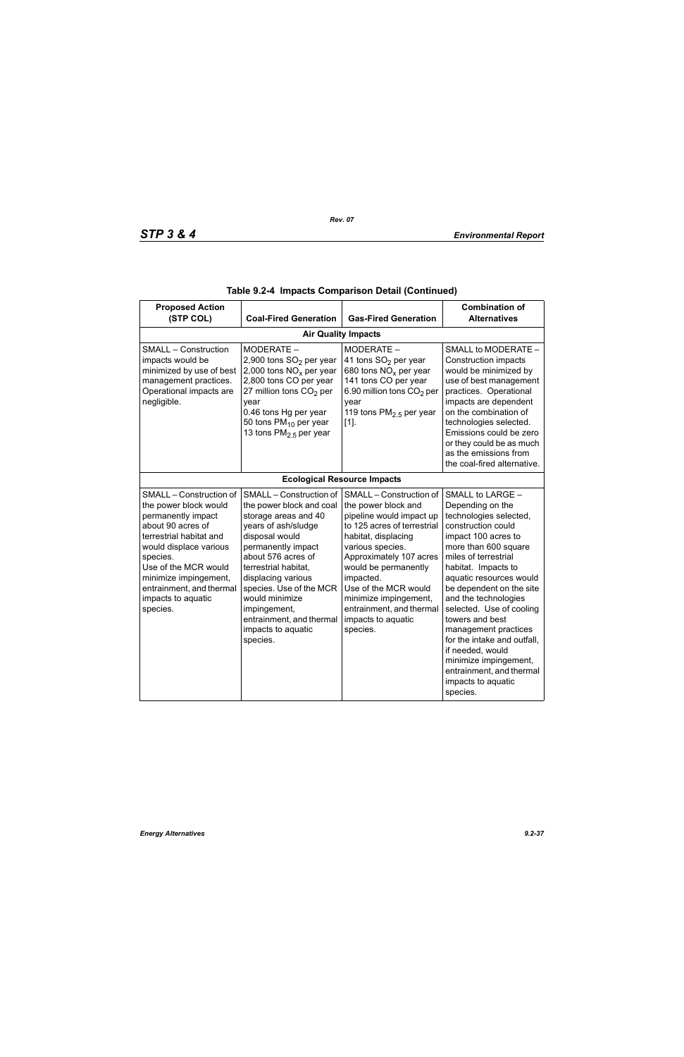| <b>Proposed Action</b><br>(STP COL)                                                                                                                                                                                                                                         | <b>Coal-Fired Generation</b>                                                                                                                                                                                                                                                                                                              | <b>Gas-Fired Generation</b>                                                                                                                                                                                                                                                                                                         | <b>Combination of</b><br><b>Alternatives</b>                                                                                                                                                                                                                                                                                                                                                                                                                                       |  |  |  |
|-----------------------------------------------------------------------------------------------------------------------------------------------------------------------------------------------------------------------------------------------------------------------------|-------------------------------------------------------------------------------------------------------------------------------------------------------------------------------------------------------------------------------------------------------------------------------------------------------------------------------------------|-------------------------------------------------------------------------------------------------------------------------------------------------------------------------------------------------------------------------------------------------------------------------------------------------------------------------------------|------------------------------------------------------------------------------------------------------------------------------------------------------------------------------------------------------------------------------------------------------------------------------------------------------------------------------------------------------------------------------------------------------------------------------------------------------------------------------------|--|--|--|
|                                                                                                                                                                                                                                                                             | <b>Air Quality Impacts</b>                                                                                                                                                                                                                                                                                                                |                                                                                                                                                                                                                                                                                                                                     |                                                                                                                                                                                                                                                                                                                                                                                                                                                                                    |  |  |  |
| <b>SMALL - Construction</b><br>impacts would be<br>minimized by use of best<br>management practices.<br>Operational impacts are<br>negligible.                                                                                                                              | MODERATE -<br>2,900 tons SO <sub>2</sub> per year<br>2,000 tons $NOx$ per year<br>2,800 tons CO per year<br>27 million tons $CO2$ per<br>year<br>0.46 tons Hg per year<br>50 tons $PM_{10}$ per year<br>13 tons $PM2.5$ per year                                                                                                          | MODERATE -<br>41 tons SO <sub>2</sub> per year<br>680 tons $NOx$ per year<br>141 tons CO per year<br>6.90 million tons CO <sub>2</sub> per<br>year<br>119 tons $PM2.5$ per year<br>$[1]$ .                                                                                                                                          | SMALL to MODERATE -<br><b>Construction impacts</b><br>would be minimized by<br>use of best management<br>practices. Operational<br>impacts are dependent<br>on the combination of<br>technologies selected.<br>Emissions could be zero<br>or they could be as much<br>as the emissions from<br>the coal-fired alternative.                                                                                                                                                         |  |  |  |
|                                                                                                                                                                                                                                                                             |                                                                                                                                                                                                                                                                                                                                           | <b>Ecological Resource Impacts</b>                                                                                                                                                                                                                                                                                                  |                                                                                                                                                                                                                                                                                                                                                                                                                                                                                    |  |  |  |
| SMALL - Construction of<br>the power block would<br>permanently impact<br>about 90 acres of<br>terrestrial habitat and<br>would displace various<br>species.<br>Use of the MCR would<br>minimize impingement,<br>entrainment, and thermal<br>impacts to aquatic<br>species. | SMALL - Construction of<br>the power block and coal<br>storage areas and 40<br>years of ash/sludge<br>disposal would<br>permanently impact<br>about 576 acres of<br>terrestrial habitat.<br>displacing various<br>species. Use of the MCR<br>would minimize<br>impingement,<br>entrainment, and thermal<br>impacts to aquatic<br>species. | SMALL - Construction of<br>the power block and<br>pipeline would impact up<br>to 125 acres of terrestrial<br>habitat, displacing<br>various species.<br>Approximately 107 acres<br>would be permanently<br>impacted.<br>Use of the MCR would<br>minimize impingement,<br>entrainment, and thermal<br>impacts to aquatic<br>species. | SMALL to LARGE -<br>Depending on the<br>technologies selected,<br>construction could<br>impact 100 acres to<br>more than 600 square<br>miles of terrestrial<br>habitat. Impacts to<br>aquatic resources would<br>be dependent on the site<br>and the technologies<br>selected. Use of cooling<br>towers and best<br>management practices<br>for the intake and outfall.<br>if needed, would<br>minimize impingement,<br>entrainment, and thermal<br>impacts to aquatic<br>species. |  |  |  |

|  |  | Table 9.2-4  Impacts Comparison Detail (Continued) |  |  |  |
|--|--|----------------------------------------------------|--|--|--|
|--|--|----------------------------------------------------|--|--|--|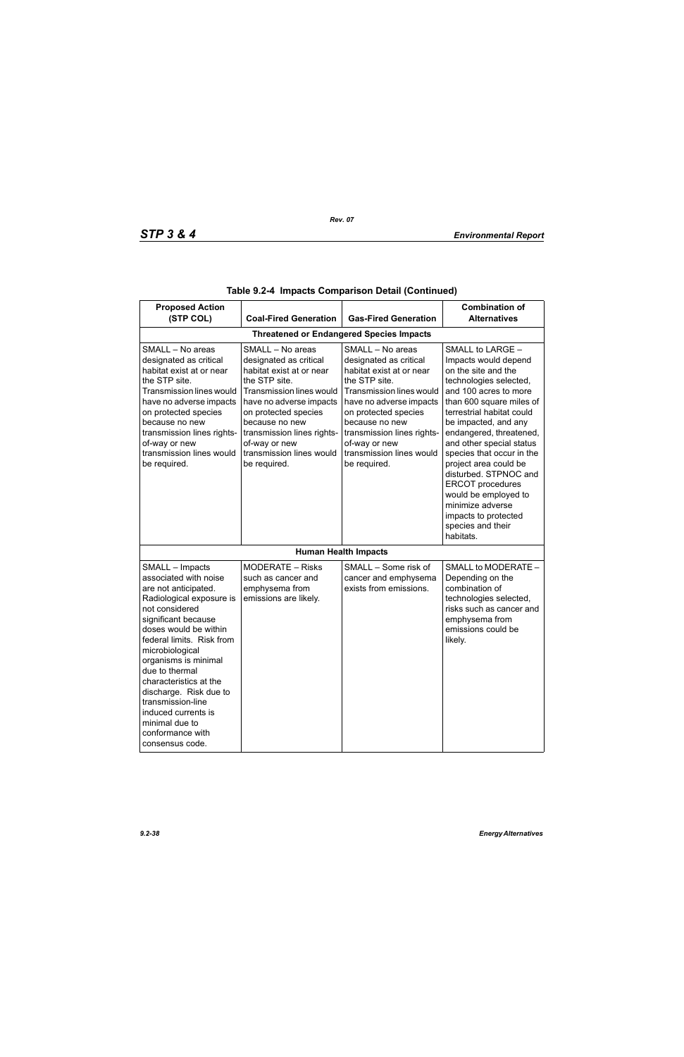| <b>Proposed Action</b><br>(STP COL)                                                                                                                                                                                                                                                                                                                                                                               | <b>Coal-Fired Generation</b>                                                                                                                                                                                                                                                        | <b>Gas-Fired Generation</b>                                                                                                                                                                                                                                                                | <b>Combination of</b><br><b>Alternatives</b>                                                                                                                                                                                                                                                                                                                                                                                                                               |  |  |  |
|-------------------------------------------------------------------------------------------------------------------------------------------------------------------------------------------------------------------------------------------------------------------------------------------------------------------------------------------------------------------------------------------------------------------|-------------------------------------------------------------------------------------------------------------------------------------------------------------------------------------------------------------------------------------------------------------------------------------|--------------------------------------------------------------------------------------------------------------------------------------------------------------------------------------------------------------------------------------------------------------------------------------------|----------------------------------------------------------------------------------------------------------------------------------------------------------------------------------------------------------------------------------------------------------------------------------------------------------------------------------------------------------------------------------------------------------------------------------------------------------------------------|--|--|--|
| <b>Threatened or Endangered Species Impacts</b>                                                                                                                                                                                                                                                                                                                                                                   |                                                                                                                                                                                                                                                                                     |                                                                                                                                                                                                                                                                                            |                                                                                                                                                                                                                                                                                                                                                                                                                                                                            |  |  |  |
| SMALL - No areas<br>designated as critical<br>habitat exist at or near<br>the STP site.<br><b>Transmission lines would</b><br>have no adverse impacts<br>on protected species<br>because no new<br>transmission lines rights-<br>of-way or new<br>transmission lines would<br>be required.                                                                                                                        | SMALL - No areas<br>designated as critical<br>habitat exist at or near<br>the STP site.<br>Transmission lines would<br>have no adverse impacts<br>on protected species<br>because no new<br>transmission lines rights-<br>of-way or new<br>transmission lines would<br>be required. | SMALL - No areas<br>designated as critical<br>habitat exist at or near<br>the STP site.<br><b>Transmission lines would</b><br>have no adverse impacts<br>on protected species<br>because no new<br>transmission lines rights-<br>of-way or new<br>transmission lines would<br>be required. | SMALL to LARGE -<br>Impacts would depend<br>on the site and the<br>technologies selected,<br>and 100 acres to more<br>than 600 square miles of<br>terrestrial habitat could<br>be impacted, and any<br>endangered, threatened,<br>and other special status<br>species that occur in the<br>project area could be<br>disturbed. STPNOC and<br><b>ERCOT</b> procedures<br>would be employed to<br>minimize adverse<br>impacts to protected<br>species and their<br>habitats. |  |  |  |
|                                                                                                                                                                                                                                                                                                                                                                                                                   |                                                                                                                                                                                                                                                                                     | <b>Human Health Impacts</b>                                                                                                                                                                                                                                                                |                                                                                                                                                                                                                                                                                                                                                                                                                                                                            |  |  |  |
| SMALL - Impacts<br>associated with noise<br>are not anticipated.<br>Radiological exposure is<br>not considered<br>significant because<br>doses would be within<br>federal limits. Risk from<br>microbiological<br>organisms is minimal<br>due to thermal<br>characteristics at the<br>discharge. Risk due to<br>transmission-line<br>induced currents is<br>minimal due to<br>conformance with<br>consensus code. | <b>MODERATE - Risks</b><br>such as cancer and<br>emphysema from<br>emissions are likely.                                                                                                                                                                                            | SMALL - Some risk of<br>cancer and emphysema<br>exists from emissions.                                                                                                                                                                                                                     | SMALL to MODERATE -<br>Depending on the<br>combination of<br>technologies selected,<br>risks such as cancer and<br>emphysema from<br>emissions could be<br>likely.                                                                                                                                                                                                                                                                                                         |  |  |  |

|  |  | Table 9.2-4  Impacts Comparison Detail (Continued) |  |  |
|--|--|----------------------------------------------------|--|--|
|--|--|----------------------------------------------------|--|--|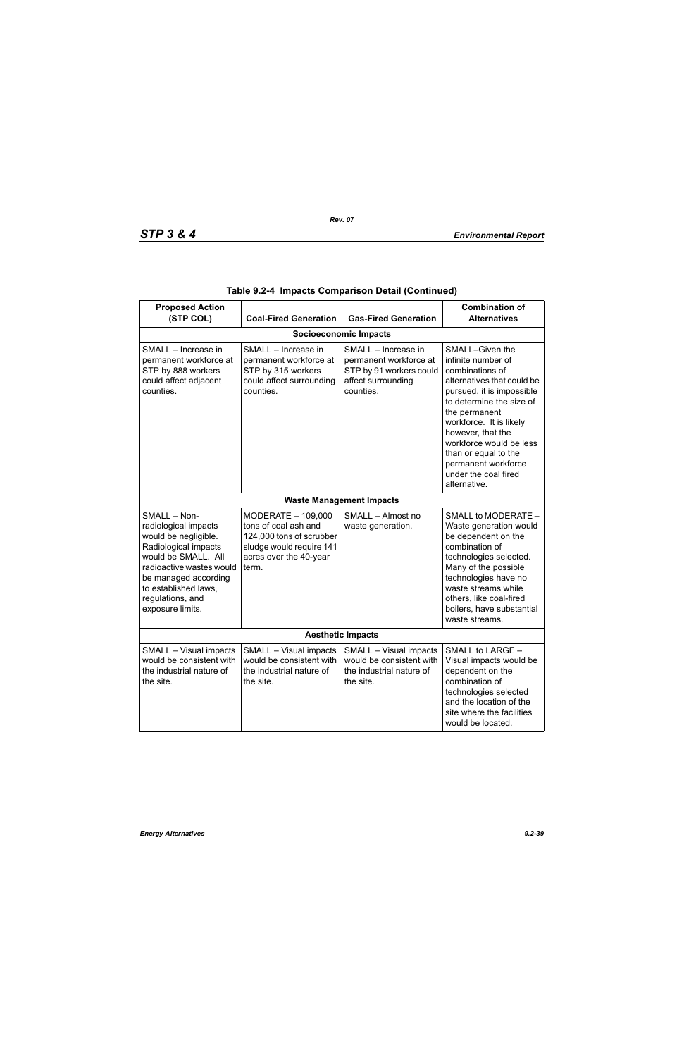| <b>Proposed Action</b><br>(STP COL)                                                                                                                                                                                             | <b>Coal-Fired Generation</b>                                                                                                          | <b>Gas-Fired Generation</b>                                                                                 | <b>Combination of</b><br><b>Alternatives</b>                                                                                                                                                                                                                                                                                       |  |  |
|---------------------------------------------------------------------------------------------------------------------------------------------------------------------------------------------------------------------------------|---------------------------------------------------------------------------------------------------------------------------------------|-------------------------------------------------------------------------------------------------------------|------------------------------------------------------------------------------------------------------------------------------------------------------------------------------------------------------------------------------------------------------------------------------------------------------------------------------------|--|--|
| <b>Socioeconomic Impacts</b>                                                                                                                                                                                                    |                                                                                                                                       |                                                                                                             |                                                                                                                                                                                                                                                                                                                                    |  |  |
| SMALL - Increase in<br>permanent workforce at<br>STP by 888 workers<br>could affect adjacent<br>counties.                                                                                                                       | SMALL - Increase in<br>permanent workforce at<br>STP by 315 workers<br>could affect surrounding<br>counties.                          | SMALL - Increase in<br>permanent workforce at<br>STP by 91 workers could<br>affect surrounding<br>counties. | SMALL-Given the<br>infinite number of<br>combinations of<br>alternatives that could be<br>pursued, it is impossible<br>to determine the size of<br>the permanent<br>workforce. It is likely<br>however, that the<br>workforce would be less<br>than or equal to the<br>permanent workforce<br>under the coal fired<br>alternative. |  |  |
|                                                                                                                                                                                                                                 |                                                                                                                                       | <b>Waste Management Impacts</b>                                                                             |                                                                                                                                                                                                                                                                                                                                    |  |  |
| SMALL - Non-<br>radiological impacts<br>would be negligible.<br>Radiological impacts<br>would be SMALL. All<br>radioactive wastes would<br>be managed according<br>to established laws,<br>regulations, and<br>exposure limits. | MODERATE - 109,000<br>tons of coal ash and<br>124,000 tons of scrubber<br>sludge would require 141<br>acres over the 40-year<br>term. | SMALL - Almost no<br>waste generation.                                                                      | SMALL to MODERATE -<br>Waste generation would<br>be dependent on the<br>combination of<br>technologies selected.<br>Many of the possible<br>technologies have no<br>waste streams while<br>others, like coal-fired<br>boilers, have substantial<br>waste streams.                                                                  |  |  |
| <b>Aesthetic Impacts</b>                                                                                                                                                                                                        |                                                                                                                                       |                                                                                                             |                                                                                                                                                                                                                                                                                                                                    |  |  |
| SMALL - Visual impacts<br>would be consistent with<br>the industrial nature of<br>the site.                                                                                                                                     | SMALL - Visual impacts<br>would be consistent with<br>the industrial nature of<br>the site.                                           | SMALL - Visual impacts<br>would be consistent with<br>the industrial nature of<br>the site.                 | SMALL to LARGE -<br>Visual impacts would be<br>dependent on the<br>combination of<br>technologies selected<br>and the location of the<br>site where the facilities<br>would be located.                                                                                                                                            |  |  |

|  |  | Table 9.2-4 Impacts Comparison Detail (Continued) |  |  |
|--|--|---------------------------------------------------|--|--|
|--|--|---------------------------------------------------|--|--|